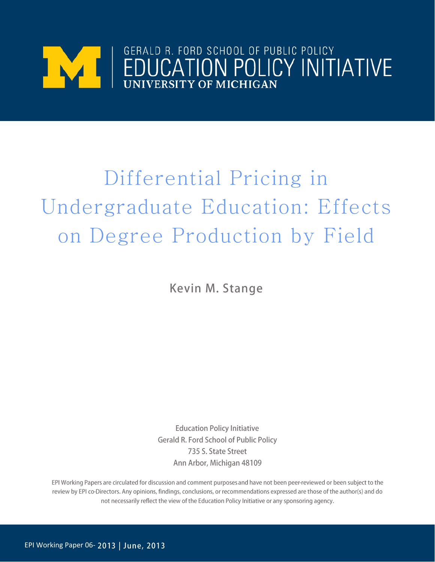

# Differential Pricing in Undergraduate Education: Effects on Degree Production by Field

Kevin M. Stange

**Education Policy Initiative Gerald R. Ford School of Public Policy** 735 S. State Street Ann Arbor, Michigan 48109

EPI Working Papers are circulated for discussion and comment purposes and have not been peer-reviewed or been subject to the review by EPI co-Directors. Any opinions, findings, conclusions, or recommendations expressed are those of the author(s) and do not necessarily reflect the view of the Education Policy Initiative or any sponsoring agency.

EPI Working Paper 06-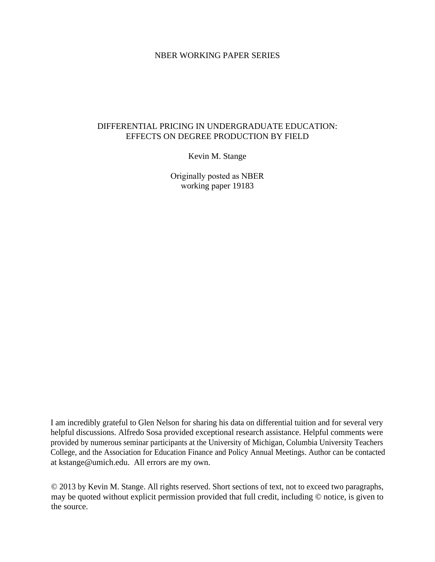# NBER WORKING PAPER SERIES

# DIFFERENTIAL PRICING IN UNDERGRADUATE EDUCATION: EFFECTS ON DEGREE PRODUCTION BY FIELD

Kevin M. Stange

Originally posted as NBER working paper 19183

I am incredibly grateful to Glen Nelson for sharing his data on differential tuition and for several very helpful discussions. Alfredo Sosa provided exceptional research assistance. Helpful comments were provided by numerous seminar participants at the University of Michigan, Columbia University Teachers College, and the Association for Education Finance and Policy Annual Meetings. Author can be contacted at kstange@umich.edu. All errors are my own.

© 2013 by Kevin M. Stange. All rights reserved. Short sections of text, not to exceed two paragraphs, may be quoted without explicit permission provided that full credit, including © notice, is given to the source.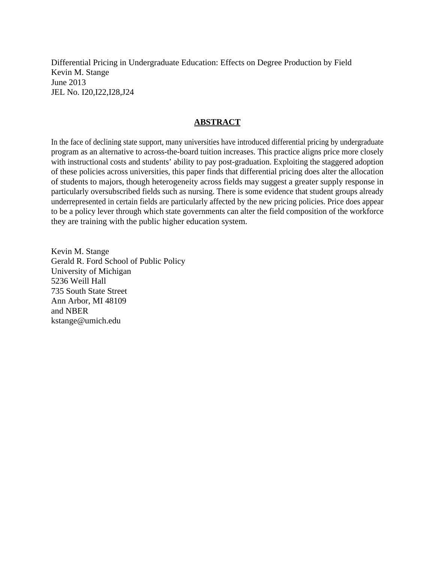Differential Pricing in Undergraduate Education: Effects on Degree Production by Field Kevin M. Stange June 2013 JEL No. I20,I22,I28,J24

# **ABSTRACT**

In the face of declining state support, many universities have introduced differential pricing by undergraduate program as an alternative to across-the-board tuition increases. This practice aligns price more closely with instructional costs and students' ability to pay post-graduation. Exploiting the staggered adoption of these policies across universities, this paper finds that differential pricing does alter the allocation of students to majors, though heterogeneity across fields may suggest a greater supply response in particularly oversubscribed fields such as nursing. There is some evidence that student groups already underrepresented in certain fields are particularly affected by the new pricing policies. Price does appear to be a policy lever through which state governments can alter the field composition of the workforce they are training with the public higher education system.

Kevin M. Stange Gerald R. Ford School of Public Policy University of Michigan 5236 Weill Hall 735 South State Street Ann Arbor, MI 48109 and NBER kstange@umich.edu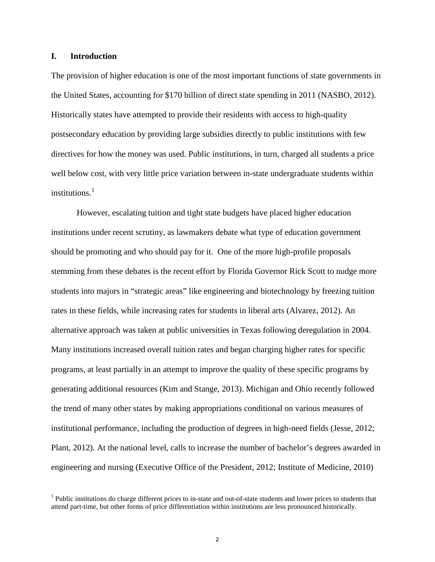# **I. Introduction**

The provision of higher education is one of the most important functions of state governments in the United States, accounting for \$170 billion of direct state spending in 2011 (NASBO, 2012). Historically states have attempted to provide their residents with access to high-quality postsecondary education by providing large subsidies directly to public institutions with few directives for how the money was used. Public institutions, in turn, charged all students a price well below cost, with very little price variation between in-state undergraduate students within institutions. [1](#page-3-0)

However, escalating tuition and tight state budgets have placed higher education institutions under recent scrutiny, as lawmakers debate what type of education government should be promoting and who should pay for it. One of the more high-profile proposals stemming from these debates is the recent effort by Florida Governor Rick Scott to nudge more students into majors in "strategic areas" like engineering and biotechnology by freezing tuition rates in these fields, while increasing rates for students in liberal arts (Alvarez, 2012). An alternative approach was taken at public universities in Texas following deregulation in 2004. Many institutions increased overall tuition rates and began charging higher rates for specific programs, at least partially in an attempt to improve the quality of these specific programs by generating additional resources (Kim and Stange, 2013). Michigan and Ohio recently followed the trend of many other states by making appropriations conditional on various measures of institutional performance, including the production of degrees in high-need fields (Jesse, 2012; Plant, 2012). At the national level, calls to increase the number of bachelor's degrees awarded in engineering and nursing (Executive Office of the President, 2012; Institute of Medicine, 2010)

<span id="page-3-0"></span> $<sup>1</sup>$  Public institutions do charge different prices to in-state and out-of-state students and lower prices to students that</sup> attend part-time, but other forms of price differentiation within institutions are less pronounced historically.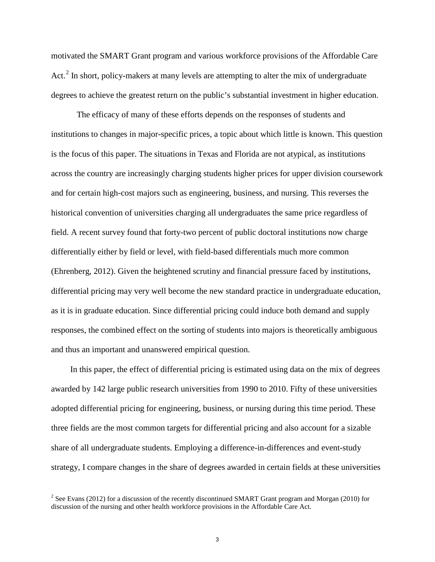motivated the SMART Grant program and various workforce provisions of the Affordable Care Act.<sup>[2](#page-4-0)</sup> In short, policy-makers at many levels are attempting to alter the mix of undergraduate degrees to achieve the greatest return on the public's substantial investment in higher education.

The efficacy of many of these efforts depends on the responses of students and institutions to changes in major-specific prices, a topic about which little is known. This question is the focus of this paper. The situations in Texas and Florida are not atypical, as institutions across the country are increasingly charging students higher prices for upper division coursework and for certain high-cost majors such as engineering, business, and nursing. This reverses the historical convention of universities charging all undergraduates the same price regardless of field. A recent survey found that forty-two percent of public doctoral institutions now charge differentially either by field or level, with field-based differentials much more common (Ehrenberg, 2012). Given the heightened scrutiny and financial pressure faced by institutions, differential pricing may very well become the new standard practice in undergraduate education, as it is in graduate education. Since differential pricing could induce both demand and supply responses, the combined effect on the sorting of students into majors is theoretically ambiguous and thus an important and unanswered empirical question.

In this paper, the effect of differential pricing is estimated using data on the mix of degrees awarded by 142 large public research universities from 1990 to 2010. Fifty of these universities adopted differential pricing for engineering, business, or nursing during this time period. These three fields are the most common targets for differential pricing and also account for a sizable share of all undergraduate students. Employing a difference-in-differences and event-study strategy, I compare changes in the share of degrees awarded in certain fields at these universities

<span id="page-4-0"></span><sup>&</sup>lt;sup>2</sup> See Evans (2012) for a discussion of the recently discontinued SMART Grant program and Morgan (2010) for discussion of the nursing and other health workforce provisions in the Affordable Care Act.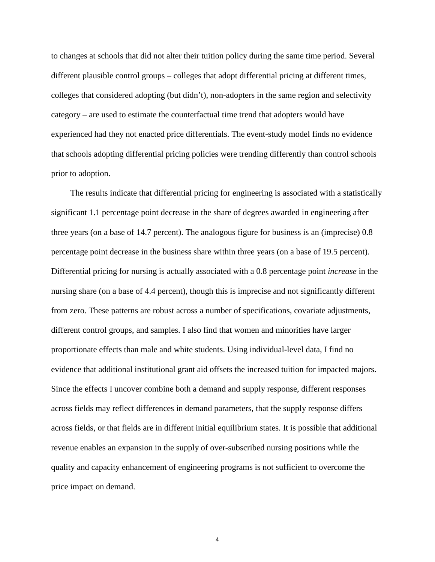to changes at schools that did not alter their tuition policy during the same time period. Several different plausible control groups – colleges that adopt differential pricing at different times, colleges that considered adopting (but didn't), non-adopters in the same region and selectivity category – are used to estimate the counterfactual time trend that adopters would have experienced had they not enacted price differentials. The event-study model finds no evidence that schools adopting differential pricing policies were trending differently than control schools prior to adoption.

The results indicate that differential pricing for engineering is associated with a statistically significant 1.1 percentage point decrease in the share of degrees awarded in engineering after three years (on a base of 14.7 percent). The analogous figure for business is an (imprecise) 0.8 percentage point decrease in the business share within three years (on a base of 19.5 percent). Differential pricing for nursing is actually associated with a 0.8 percentage point *increase* in the nursing share (on a base of 4.4 percent), though this is imprecise and not significantly different from zero. These patterns are robust across a number of specifications, covariate adjustments, different control groups, and samples. I also find that women and minorities have larger proportionate effects than male and white students. Using individual-level data, I find no evidence that additional institutional grant aid offsets the increased tuition for impacted majors. Since the effects I uncover combine both a demand and supply response, different responses across fields may reflect differences in demand parameters, that the supply response differs across fields, or that fields are in different initial equilibrium states. It is possible that additional revenue enables an expansion in the supply of over-subscribed nursing positions while the quality and capacity enhancement of engineering programs is not sufficient to overcome the price impact on demand.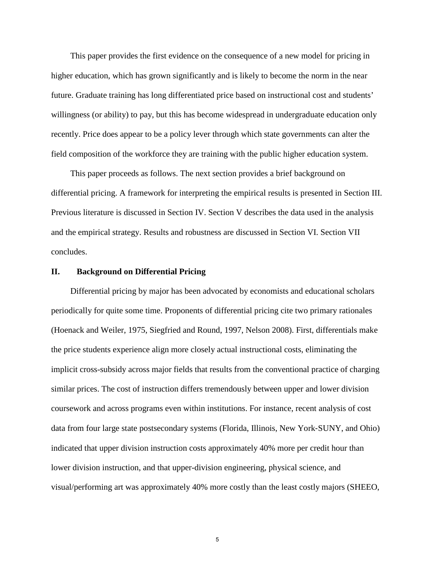This paper provides the first evidence on the consequence of a new model for pricing in higher education, which has grown significantly and is likely to become the norm in the near future. Graduate training has long differentiated price based on instructional cost and students' willingness (or ability) to pay, but this has become widespread in undergraduate education only recently. Price does appear to be a policy lever through which state governments can alter the field composition of the workforce they are training with the public higher education system.

This paper proceeds as follows. The next section provides a brief background on differential pricing. A framework for interpreting the empirical results is presented in Section III. Previous literature is discussed in Section IV. Section V describes the data used in the analysis and the empirical strategy. Results and robustness are discussed in Section VI. Section VII concludes.

#### **II. Background on Differential Pricing**

Differential pricing by major has been advocated by economists and educational scholars periodically for quite some time. Proponents of differential pricing cite two primary rationales (Hoenack and Weiler, 1975, Siegfried and Round, 1997, Nelson 2008). First, differentials make the price students experience align more closely actual instructional costs, eliminating the implicit cross-subsidy across major fields that results from the conventional practice of charging similar prices. The cost of instruction differs tremendously between upper and lower division coursework and across programs even within institutions. For instance, recent analysis of cost data from four large state postsecondary systems (Florida, Illinois, New York‐SUNY, and Ohio) indicated that upper division instruction costs approximately 40% more per credit hour than lower division instruction, and that upper-division engineering, physical science, and visual/performing art was approximately 40% more costly than the least costly majors (SHEEO,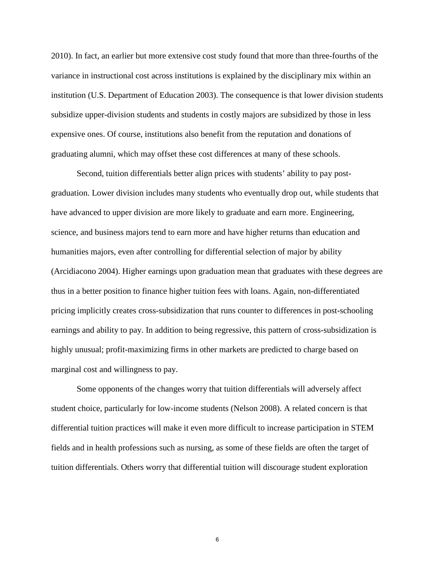2010). In fact, an earlier but more extensive cost study found that more than three-fourths of the variance in instructional cost across institutions is explained by the disciplinary mix within an institution (U.S. Department of Education 2003). The consequence is that lower division students subsidize upper-division students and students in costly majors are subsidized by those in less expensive ones. Of course, institutions also benefit from the reputation and donations of graduating alumni, which may offset these cost differences at many of these schools.

Second, tuition differentials better align prices with students' ability to pay postgraduation. Lower division includes many students who eventually drop out, while students that have advanced to upper division are more likely to graduate and earn more. Engineering, science, and business majors tend to earn more and have higher returns than education and humanities majors, even after controlling for differential selection of major by ability (Arcidiacono 2004). Higher earnings upon graduation mean that graduates with these degrees are thus in a better position to finance higher tuition fees with loans. Again, non-differentiated pricing implicitly creates cross-subsidization that runs counter to differences in post-schooling earnings and ability to pay. In addition to being regressive, this pattern of cross-subsidization is highly unusual; profit-maximizing firms in other markets are predicted to charge based on marginal cost and willingness to pay.

Some opponents of the changes worry that tuition differentials will adversely affect student choice, particularly for low-income students (Nelson 2008). A related concern is that differential tuition practices will make it even more difficult to increase participation in STEM fields and in health professions such as nursing, as some of these fields are often the target of tuition differentials. Others worry that differential tuition will discourage student exploration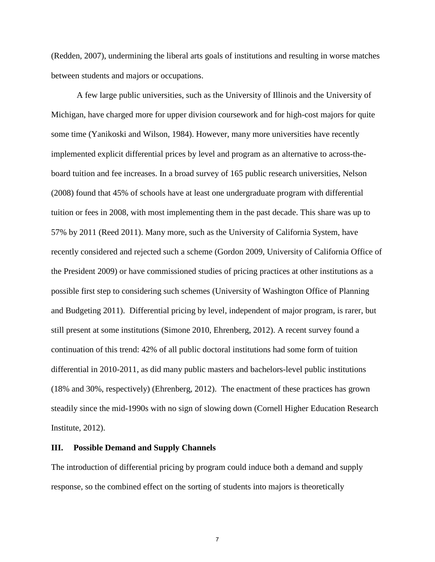(Redden, 2007), undermining the liberal arts goals of institutions and resulting in worse matches between students and majors or occupations.

A few large public universities, such as the University of Illinois and the University of Michigan, have charged more for upper division coursework and for high-cost majors for quite some time (Yanikoski and Wilson, 1984). However, many more universities have recently implemented explicit differential prices by level and program as an alternative to across-theboard tuition and fee increases. In a broad survey of 165 public research universities, Nelson (2008) found that 45% of schools have at least one undergraduate program with differential tuition or fees in 2008, with most implementing them in the past decade. This share was up to 57% by 2011 (Reed 2011). Many more, such as the University of California System, have recently considered and rejected such a scheme (Gordon 2009, University of California Office of the President 2009) or have commissioned studies of pricing practices at other institutions as a possible first step to considering such schemes (University of Washington Office of Planning and Budgeting 2011). Differential pricing by level, independent of major program, is rarer, but still present at some institutions (Simone 2010, Ehrenberg, 2012). A recent survey found a continuation of this trend: 42% of all public doctoral institutions had some form of tuition differential in 2010-2011, as did many public masters and bachelors-level public institutions (18% and 30%, respectively) (Ehrenberg, 2012). The enactment of these practices has grown steadily since the mid-1990s with no sign of slowing down (Cornell Higher Education Research Institute, 2012).

# **III. Possible Demand and Supply Channels**

The introduction of differential pricing by program could induce both a demand and supply response, so the combined effect on the sorting of students into majors is theoretically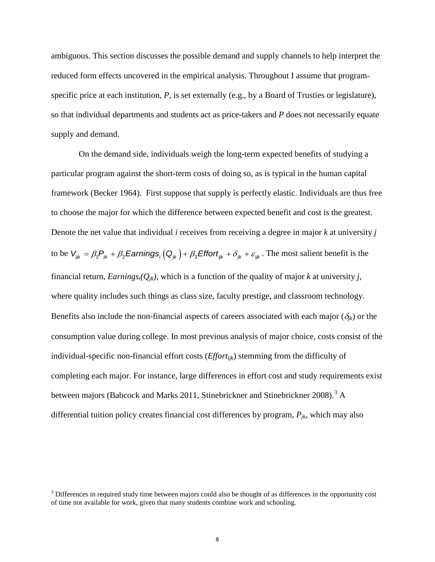ambiguous. This section discusses the possible demand and supply channels to help interpret the reduced form effects uncovered in the empirical analysis. Throughout I assume that programspecific price at each institution, *P*, is set externally (e.g., by a Board of Trusties or legislature), so that individual departments and students act as price-takers and *P* does not necessarily equate supply and demand.

 On the demand side, individuals weigh the long-term expected benefits of studying a particular program against the short-term costs of doing so, as is typical in the human capital framework (Becker 1964). First suppose that supply is perfectly elastic. Individuals are thus free to choose the major for which the difference between expected benefit and cost is the greatest. Denote the net value that individual *i* receives from receiving a degree in major *k* at university *j* to be  $V_{ijk} = \beta_1 P_{jk} + \beta_2$  *Earnings*<sub>*i*</sub>  $(Q_{jk}) + \beta_3$  *Effort<sub>ijk</sub>* +  $\delta_{jk} + \varepsilon_{ijk}$ . The most salient benefit is the financial return, *Earnings<sub>i</sub>*( $Q_{jk}$ ), which is a function of the quality of major *k* at university *j*, where quality includes such things as class size, faculty prestige, and classroom technology. Benefits also include the non-financial aspects of careers associated with each major  $(\delta_{ik})$  or the consumption value during college. In most previous analysis of major choice, costs consist of the individual-specific non-financial effort costs (*Effortijk*) stemming from the difficulty of completing each major. For instance, large differences in effort cost and study requirements exist between majors (Babcock and Marks 2011, Stinebrickner and Stinebrickner 2008).<sup>[3](#page-9-0)</sup> A differential tuition policy creates financial cost differences by program,  $P_{jk}$ , which may also

<span id="page-9-0"></span><sup>&</sup>lt;sup>3</sup> Differences in required study time between majors could also be thought of as differences in the opportunity cost of time not available for work, given that many students combine work and schooling.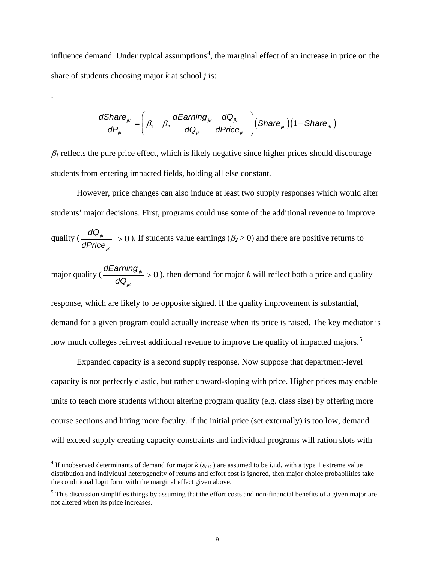influence demand. Under typical assumptions<sup>[4](#page-10-0)</sup>, the marginal effect of an increase in price on the share of students choosing major *k* at school *j* is:

.

$$
\frac{dShare_{jk}}{dP_{jk}} = \left(\beta_1 + \beta_2 \frac{dEarning_{jk}}{dQ_{jk}} \frac{dQ_{jk}}{dPrice_{jk}}\right) \left(Share_{jk}\right) \left(1 - share_{jk}\right)
$$

 $\beta_1$  reflects the pure price effect, which is likely negative since higher prices should discourage students from entering impacted fields, holding all else constant.

However, price changes can also induce at least two supply responses which would alter students' major decisions. First, programs could use some of the additional revenue to improve quality  $\left(\frac{d\mathbf{x}_{jk}}{d\mathbf{D}}\right) > 0$ *jk dQ dPrice*  $>$  0). If students value earnings ( $\beta$ <sub>2</sub> $>$ 0) and there are positive returns to

major quality  $\left(\frac{d^2 u}{\sigma}\right)^{ik} > 0$ *jk dEarning dQ*  $> 0$ ), then demand for major *k* will reflect both a price and quality

response, which are likely to be opposite signed. If the quality improvement is substantial, demand for a given program could actually increase when its price is raised. The key mediator is how much colleges reinvest additional revenue to improve the quality of impacted majors.<sup>[5](#page-10-1)</sup>

Expanded capacity is a second supply response. Now suppose that department-level capacity is not perfectly elastic, but rather upward-sloping with price. Higher prices may enable units to teach more students without altering program quality (e.g. class size) by offering more course sections and hiring more faculty. If the initial price (set externally) is too low, demand will exceed supply creating capacity constraints and individual programs will ration slots with

<span id="page-10-0"></span><sup>&</sup>lt;sup>4</sup> If unobserved determinants of demand for major  $k$  ( $\varepsilon_{ijk}$ ) are assumed to be i.i.d. with a type 1 extreme value distribution and individual heterogeneity of returns and effort cost is ignored, then major choice probabilities take the conditional logit form with the marginal effect given above.

<span id="page-10-1"></span> $<sup>5</sup>$  This discussion simplifies things by assuming that the effort costs and non-financial benefits of a given major are</sup> not altered when its price increases.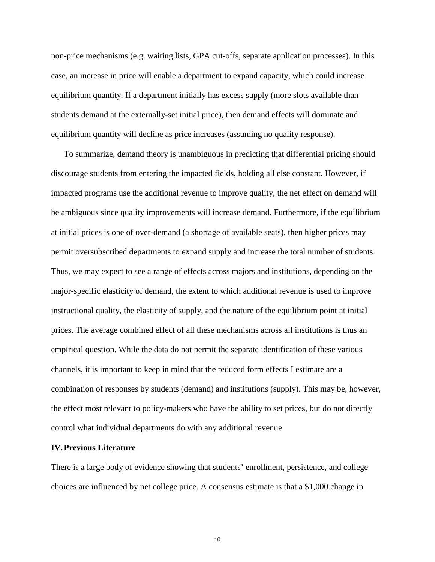non-price mechanisms (e.g. waiting lists, GPA cut-offs, separate application processes). In this case, an increase in price will enable a department to expand capacity, which could increase equilibrium quantity. If a department initially has excess supply (more slots available than students demand at the externally-set initial price), then demand effects will dominate and equilibrium quantity will decline as price increases (assuming no quality response).

To summarize, demand theory is unambiguous in predicting that differential pricing should discourage students from entering the impacted fields, holding all else constant. However, if impacted programs use the additional revenue to improve quality, the net effect on demand will be ambiguous since quality improvements will increase demand. Furthermore, if the equilibrium at initial prices is one of over-demand (a shortage of available seats), then higher prices may permit oversubscribed departments to expand supply and increase the total number of students. Thus, we may expect to see a range of effects across majors and institutions, depending on the major-specific elasticity of demand, the extent to which additional revenue is used to improve instructional quality, the elasticity of supply, and the nature of the equilibrium point at initial prices. The average combined effect of all these mechanisms across all institutions is thus an empirical question. While the data do not permit the separate identification of these various channels, it is important to keep in mind that the reduced form effects I estimate are a combination of responses by students (demand) and institutions (supply). This may be, however, the effect most relevant to policy-makers who have the ability to set prices, but do not directly control what individual departments do with any additional revenue.

# **IV.Previous Literature**

There is a large body of evidence showing that students' enrollment, persistence, and college choices are influenced by net college price. A consensus estimate is that a \$1,000 change in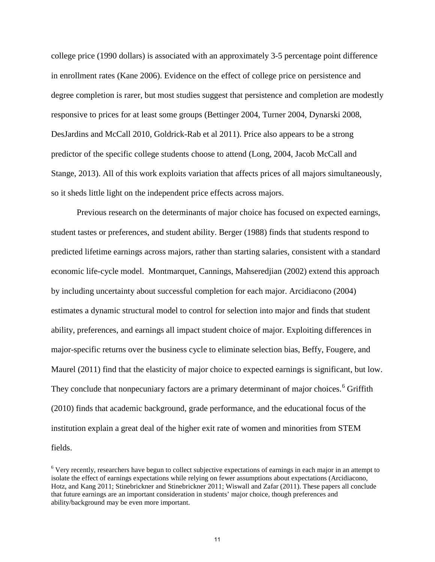college price (1990 dollars) is associated with an approximately 3-5 percentage point difference in enrollment rates (Kane 2006). Evidence on the effect of college price on persistence and degree completion is rarer, but most studies suggest that persistence and completion are modestly responsive to prices for at least some groups (Bettinger 2004, Turner 2004, Dynarski 2008, DesJardins and McCall 2010, Goldrick-Rab et al 2011). Price also appears to be a strong predictor of the specific college students choose to attend (Long, 2004, Jacob McCall and Stange, 2013). All of this work exploits variation that affects prices of all majors simultaneously, so it sheds little light on the independent price effects across majors.

Previous research on the determinants of major choice has focused on expected earnings, student tastes or preferences, and student ability. Berger (1988) finds that students respond to predicted lifetime earnings across majors, rather than starting salaries, consistent with a standard economic life-cycle model. Montmarquet, Cannings, Mahseredjian (2002) extend this approach by including uncertainty about successful completion for each major. Arcidiacono (2004) estimates a dynamic structural model to control for selection into major and finds that student ability, preferences, and earnings all impact student choice of major. Exploiting differences in major-specific returns over the business cycle to eliminate selection bias, Beffy, Fougere, and Maurel (2011) find that the elasticity of major choice to expected earnings is significant, but low. They conclude that nonpecuniary factors are a primary determinant of major choices.<sup>[6](#page-12-0)</sup> Griffith (2010) finds that academic background, grade performance, and the educational focus of the institution explain a great deal of the higher exit rate of women and minorities from STEM fields.

<span id="page-12-0"></span><sup>6</sup> Very recently, researchers have begun to collect subjective expectations of earnings in each major in an attempt to isolate the effect of earnings expectations while relying on fewer assumptions about expectations (Arcidiacono, Hotz, and Kang 2011; Stinebrickner and Stinebrickner 2011; Wiswall and Zafar (2011). These papers all conclude that future earnings are an important consideration in students' major choice, though preferences and ability/background may be even more important.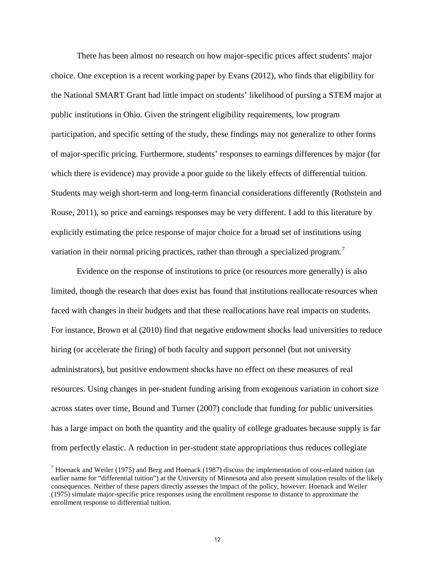There has been almost no research on how major-specific prices affect students' major choice. One exception is a recent working paper by Evans (2012), who finds that eligibility for the National SMART Grant had little impact on students' likelihood of pursing a STEM major at public institutions in Ohio. Given the stringent eligibility requirements, low program participation, and specific setting of the study, these findings may not generalize to other forms of major-specific pricing. Furthermore, students' responses to earnings differences by major (for which there is evidence) may provide a poor guide to the likely effects of differential tuition. Students may weigh short-term and long-term financial considerations differently (Rothstein and Rouse, 2011), so price and earnings responses may be very different. I add to this literature by explicitly estimating the price response of major choice for a broad set of institutions using variation in their normal pricing practices, rather than through a specialized program.<sup>[7](#page-13-0)</sup>

Evidence on the response of institutions to price (or resources more generally) is also limited, though the research that does exist has found that institutions reallocate resources when faced with changes in their budgets and that these reallocations have real impacts on students. For instance, Brown et al (2010) find that negative endowment shocks lead universities to reduce hiring (or accelerate the firing) of both faculty and support personnel (but not university administrators), but positive endowment shocks have no effect on these measures of real resources. Using changes in per-student funding arising from exogenous variation in cohort size across states over time, Bound and Turner (2007) conclude that funding for public universities has a large impact on both the quantity and the quality of college graduates because supply is far from perfectly elastic. A reduction in per-student state appropriations thus reduces collegiate

<span id="page-13-0"></span> $<sup>7</sup>$  Hoenack and Weiler (1975) and Berg and Hoenack (1987) discuss the implementation of cost-related tuition (an</sup> earlier name for "differential tuition") at the University of Minnesota and also present simulation results of the likely consequences. Neither of these papers directly assesses the impact of the policy, however. Hoenack and Weiler (1975) simulate major-specific price responses using the enrollment response to distance to approximate the enrollment response to differential tuition.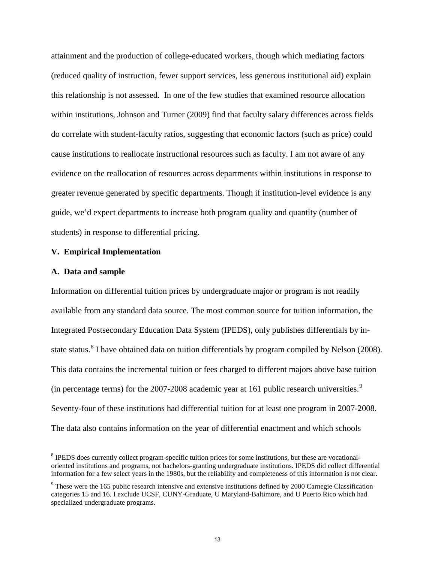attainment and the production of college-educated workers, though which mediating factors (reduced quality of instruction, fewer support services, less generous institutional aid) explain this relationship is not assessed. In one of the few studies that examined resource allocation within institutions, Johnson and Turner (2009) find that faculty salary differences across fields do correlate with student-faculty ratios, suggesting that economic factors (such as price) could cause institutions to reallocate instructional resources such as faculty. I am not aware of any evidence on the reallocation of resources across departments within institutions in response to greater revenue generated by specific departments. Though if institution-level evidence is any guide, we'd expect departments to increase both program quality and quantity (number of students) in response to differential pricing.

#### **V. Empirical Implementation**

#### **A. Data and sample**

Information on differential tuition prices by undergraduate major or program is not readily available from any standard data source. The most common source for tuition information, the Integrated Postsecondary Education Data System (IPEDS), only publishes differentials by in-state status.<sup>[8](#page-14-0)</sup> I have obtained data on tuition differentials by program compiled by Nelson (2008). This data contains the incremental tuition or fees charged to different majors above base tuition (in percentage terms) for the  $2007$ -2008 academic year at 161 public research universities.<sup>[9](#page-14-1)</sup> Seventy-four of these institutions had differential tuition for at least one program in 2007-2008. The data also contains information on the year of differential enactment and which schools

<span id="page-14-0"></span><sup>&</sup>lt;sup>8</sup> IPEDS does currently collect program-specific tuition prices for some institutions, but these are vocationaloriented institutions and programs, not bachelors-granting undergraduate institutions. IPEDS did collect differential information for a few select years in the 1980s, but the reliability and completeness of this information is not clear.

<span id="page-14-1"></span><sup>9</sup> These were the 165 public research intensive and extensive institutions defined by 2000 Carnegie Classification categories 15 and 16. I exclude UCSF, CUNY-Graduate, U Maryland-Baltimore, and U Puerto Rico which had specialized undergraduate programs.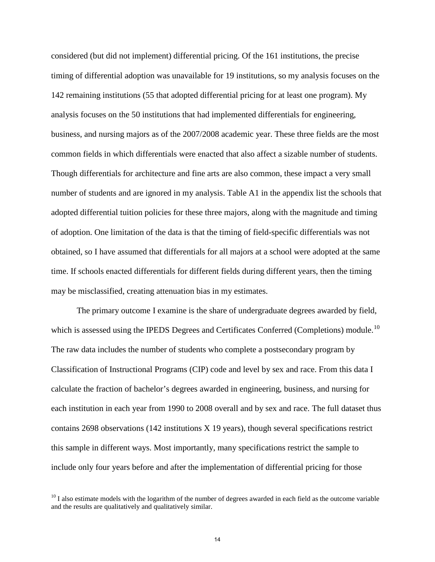considered (but did not implement) differential pricing. Of the 161 institutions, the precise timing of differential adoption was unavailable for 19 institutions, so my analysis focuses on the 142 remaining institutions (55 that adopted differential pricing for at least one program). My analysis focuses on the 50 institutions that had implemented differentials for engineering, business, and nursing majors as of the 2007/2008 academic year. These three fields are the most common fields in which differentials were enacted that also affect a sizable number of students. Though differentials for architecture and fine arts are also common, these impact a very small number of students and are ignored in my analysis. Table A1 in the appendix list the schools that adopted differential tuition policies for these three majors, along with the magnitude and timing of adoption. One limitation of the data is that the timing of field-specific differentials was not obtained, so I have assumed that differentials for all majors at a school were adopted at the same time. If schools enacted differentials for different fields during different years, then the timing may be misclassified, creating attenuation bias in my estimates.

The primary outcome I examine is the share of undergraduate degrees awarded by field, which is assessed using the IPEDS Degrees and Certificates Conferred (Completions) module.<sup>[10](#page-15-0)</sup> The raw data includes the number of students who complete a postsecondary program by Classification of Instructional Programs (CIP) code and level by sex and race. From this data I calculate the fraction of bachelor's degrees awarded in engineering, business, and nursing for each institution in each year from 1990 to 2008 overall and by sex and race. The full dataset thus contains 2698 observations (142 institutions X 19 years), though several specifications restrict this sample in different ways. Most importantly, many specifications restrict the sample to include only four years before and after the implementation of differential pricing for those

<span id="page-15-0"></span> $10$  I also estimate models with the logarithm of the number of degrees awarded in each field as the outcome variable and the results are qualitatively and qualitatively similar.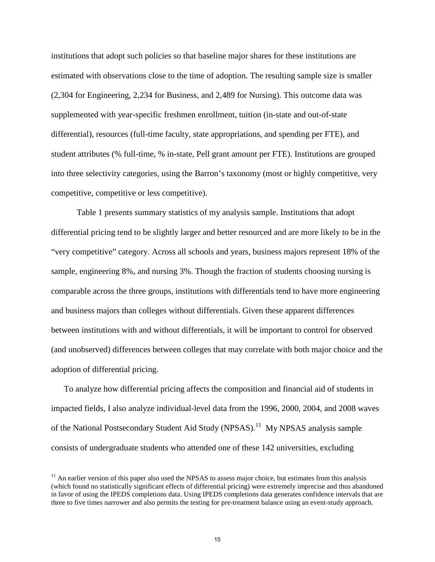institutions that adopt such policies so that baseline major shares for these institutions are estimated with observations close to the time of adoption. The resulting sample size is smaller (2,304 for Engineering, 2,234 for Business, and 2,489 for Nursing). This outcome data was supplemented with year-specific freshmen enrollment, tuition (in-state and out-of-state differential), resources (full-time faculty, state appropriations, and spending per FTE), and student attributes (% full-time, % in-state, Pell grant amount per FTE). Institutions are grouped into three selectivity categories, using the Barron's taxonomy (most or highly competitive, very competitive, competitive or less competitive).

Table 1 presents summary statistics of my analysis sample. Institutions that adopt differential pricing tend to be slightly larger and better resourced and are more likely to be in the "very competitive" category. Across all schools and years, business majors represent 18% of the sample, engineering 8%, and nursing 3%. Though the fraction of students choosing nursing is comparable across the three groups, institutions with differentials tend to have more engineering and business majors than colleges without differentials. Given these apparent differences between institutions with and without differentials, it will be important to control for observed (and unobserved) differences between colleges that may correlate with both major choice and the adoption of differential pricing.

To analyze how differential pricing affects the composition and financial aid of students in impacted fields, I also analyze individual-level data from the 1996, 2000, 2004, and 2008 waves of the National Postsecondary Student Aid Study (NPSAS).<sup>[11](#page-16-0)</sup> My NPSAS analysis sample consists of undergraduate students who attended one of these 142 universities, excluding

<span id="page-16-0"></span> $<sup>11</sup>$  An earlier version of this paper also used the NPSAS to assess major choice, but estimates from this analysis</sup> (which found no statistically significant effects of differential pricing) were extremely imprecise and thus abandoned in favor of using the IPEDS completions data. Using IPEDS completions data generates confidence intervals that are three to five times narrower and also permits the testing for pre-treatment balance using an event-study approach.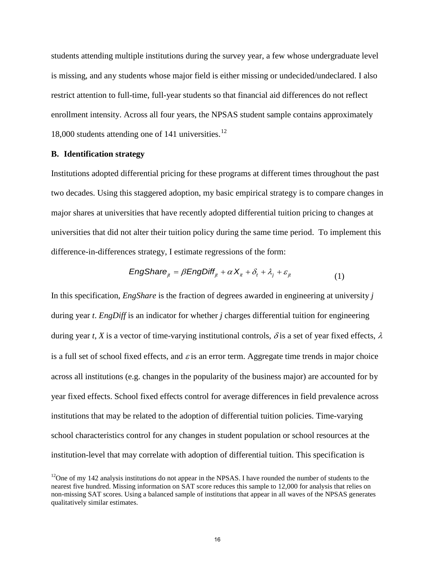students attending multiple institutions during the survey year, a few whose undergraduate level is missing, and any students whose major field is either missing or undecided/undeclared. I also restrict attention to full-time, full-year students so that financial aid differences do not reflect enrollment intensity. Across all four years, the NPSAS student sample contains approximately 18,000 students attending one of 141 universities. $^{12}$  $^{12}$  $^{12}$ 

## **B. Identification strategy**

Institutions adopted differential pricing for these programs at different times throughout the past two decades. Using this staggered adoption, my basic empirical strategy is to compare changes in major shares at universities that have recently adopted differential tuition pricing to changes at universities that did not alter their tuition policy during the same time period. To implement this difference-in-differences strategy, I estimate regressions of the form:

$$
EngShare_{jt} = \beta EngDiff_{jt} + \alpha X_{it} + \delta_t + \lambda_j + \varepsilon_{jt}
$$
\n(1)

In this specification, *EngShare* is the fraction of degrees awarded in engineering at university *j* during year *t*. *EngDiff* is an indicator for whether *j* charges differential tuition for engineering during year *t*, *X* is a vector of time-varying institutional controls,  $\delta$  is a set of year fixed effects,  $\lambda$ is a full set of school fixed effects, and  $\varepsilon$  is an error term. Aggregate time trends in major choice across all institutions (e.g. changes in the popularity of the business major) are accounted for by year fixed effects. School fixed effects control for average differences in field prevalence across institutions that may be related to the adoption of differential tuition policies. Time-varying school characteristics control for any changes in student population or school resources at the institution-level that may correlate with adoption of differential tuition. This specification is

<span id="page-17-0"></span> $12$ One of my 142 analysis institutions do not appear in the NPSAS. I have rounded the number of students to the nearest five hundred. Missing information on SAT score reduces this sample to 12,000 for analysis that relies on non-missing SAT scores. Using a balanced sample of institutions that appear in all waves of the NPSAS generates qualitatively similar estimates.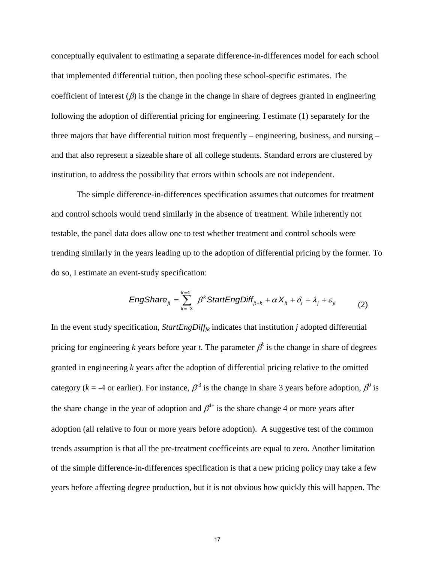conceptually equivalent to estimating a separate difference-in-differences model for each school that implemented differential tuition, then pooling these school-specific estimates. The coefficient of interest  $(\beta)$  is the change in the change in share of degrees granted in engineering following the adoption of differential pricing for engineering. I estimate (1) separately for the three majors that have differential tuition most frequently – engineering, business, and nursing – and that also represent a sizeable share of all college students. Standard errors are clustered by institution, to address the possibility that errors within schools are not independent.

The simple difference-in-differences specification assumes that outcomes for treatment and control schools would trend similarly in the absence of treatment. While inherently not testable, the panel data does allow one to test whether treatment and control schools were trending similarly in the years leading up to the adoption of differential pricing by the former. To do so, I estimate an event-study specification:

$$
EngShare_{jt} = \sum_{k=-3}^{k=4^+} \beta^k StartEngDiff_{jt+k} + \alpha X_{it} + \delta_t + \lambda_j + \varepsilon_{jt}
$$
 (2)

In the event study specification, *StartEngDiffjk* indicates that institution *j* adopted differential pricing for engineering *k* years before year *t*. The parameter  $\beta^k$  is the change in share of degrees granted in engineering *k* years after the adoption of differential pricing relative to the omitted category ( $k = -4$  or earlier). For instance,  $\beta^3$  is the change in share 3 years before adoption,  $\beta^0$  is the share change in the year of adoption and  $\beta^{4+}$  is the share change 4 or more years after adoption (all relative to four or more years before adoption). A suggestive test of the common trends assumption is that all the pre-treatment coefficeints are equal to zero. Another limitation of the simple difference-in-differences specification is that a new pricing policy may take a few years before affecting degree production, but it is not obvious how quickly this will happen. The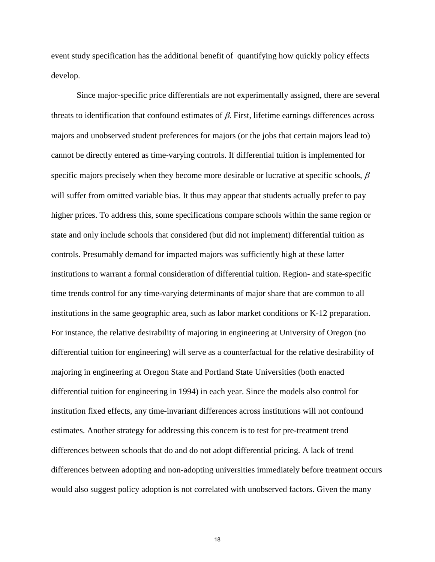event study specification has the additional benefit of quantifying how quickly policy effects develop.

Since major-specific price differentials are not experimentally assigned, there are several threats to identification that confound estimates of  $β$ . First, lifetime earnings differences across majors and unobserved student preferences for majors (or the jobs that certain majors lead to) cannot be directly entered as time-varying controls. If differential tuition is implemented for specific majors precisely when they become more desirable or lucrative at specific schools,  $\beta$ will suffer from omitted variable bias. It thus may appear that students actually prefer to pay higher prices. To address this, some specifications compare schools within the same region or state and only include schools that considered (but did not implement) differential tuition as controls. Presumably demand for impacted majors was sufficiently high at these latter institutions to warrant a formal consideration of differential tuition. Region- and state-specific time trends control for any time-varying determinants of major share that are common to all institutions in the same geographic area, such as labor market conditions or K-12 preparation. For instance, the relative desirability of majoring in engineering at University of Oregon (no differential tuition for engineering) will serve as a counterfactual for the relative desirability of majoring in engineering at Oregon State and Portland State Universities (both enacted differential tuition for engineering in 1994) in each year. Since the models also control for institution fixed effects, any time-invariant differences across institutions will not confound estimates. Another strategy for addressing this concern is to test for pre-treatment trend differences between schools that do and do not adopt differential pricing. A lack of trend differences between adopting and non-adopting universities immediately before treatment occurs would also suggest policy adoption is not correlated with unobserved factors. Given the many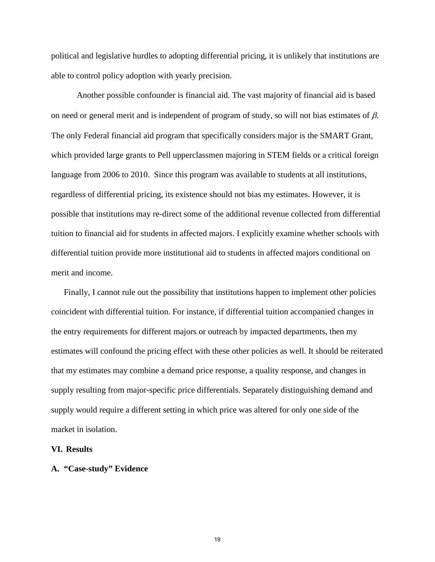political and legislative hurdles to adopting differential pricing, it is unlikely that institutions are able to control policy adoption with yearly precision.

Another possible confounder is financial aid. The vast majority of financial aid is based on need or general merit and is independent of program of study, so will not bias estimates of  $\beta$ . The only Federal financial aid program that specifically considers major is the SMART Grant, which provided large grants to Pell upperclassmen majoring in STEM fields or a critical foreign language from 2006 to 2010. Since this program was available to students at all institutions, regardless of differential pricing, its existence should not bias my estimates. However, it is possible that institutions may re-direct some of the additional revenue collected from differential tuition to financial aid for students in affected majors. I explicitly examine whether schools with differential tuition provide more institutional aid to students in affected majors conditional on merit and income.

Finally, I cannot rule out the possibility that institutions happen to implement other policies coincident with differential tuition. For instance, if differential tuition accompanied changes in the entry requirements for different majors or outreach by impacted departments, then my estimates will confound the pricing effect with these other policies as well. It should be reiterated that my estimates may combine a demand price response, a quality response, and changes in supply resulting from major-specific price differentials. Separately distinguishing demand and supply would require a different setting in which price was altered for only one side of the market in isolation.

#### **VI. Results**

#### **A. "Case-study" Evidence**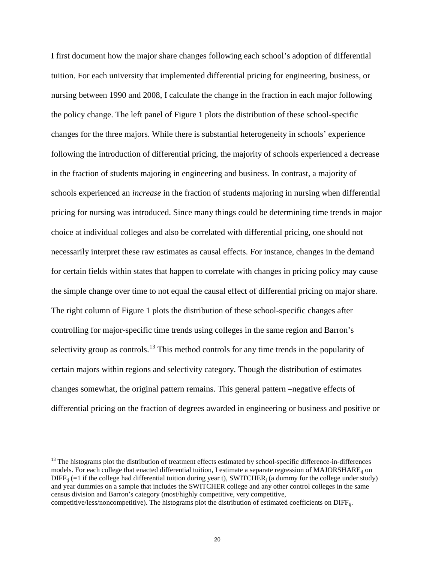I first document how the major share changes following each school's adoption of differential tuition. For each university that implemented differential pricing for engineering, business, or nursing between 1990 and 2008, I calculate the change in the fraction in each major following the policy change. The left panel of Figure 1 plots the distribution of these school-specific changes for the three majors. While there is substantial heterogeneity in schools' experience following the introduction of differential pricing, the majority of schools experienced a decrease in the fraction of students majoring in engineering and business. In contrast, a majority of schools experienced an *increase* in the fraction of students majoring in nursing when differential pricing for nursing was introduced. Since many things could be determining time trends in major choice at individual colleges and also be correlated with differential pricing, one should not necessarily interpret these raw estimates as causal effects. For instance, changes in the demand for certain fields within states that happen to correlate with changes in pricing policy may cause the simple change over time to not equal the causal effect of differential pricing on major share. The right column of Figure 1 plots the distribution of these school-specific changes after controlling for major-specific time trends using colleges in the same region and Barron's selectivity group as controls.<sup>13</sup> This method controls for any time trends in the popularity of certain majors within regions and selectivity category. Though the distribution of estimates changes somewhat, the original pattern remains. This general pattern –negative effects of differential pricing on the fraction of degrees awarded in engineering or business and positive or

<span id="page-21-0"></span> $<sup>13</sup>$  The histograms plot the distribution of treatment effects estimated by school-specific difference-in-differences</sup> models. For each college that enacted differential tuition, I estimate a separate regression of MAJORSHARE<sub>ti</sub> on  $\text{DIFF}_{\text{ti}}$  (=1 if the college had differential tuition during year t), SWITCHER<sub>i</sub> (a dummy for the college under study) and year dummies on a sample that includes the SWITCHER college and any other control colleges in the same census division and Barron's category (most/highly competitive, very competitive, competitive/less/noncompetitive). The histograms plot the distribution of estimated coefficients on DIFFt<sub>i</sub>.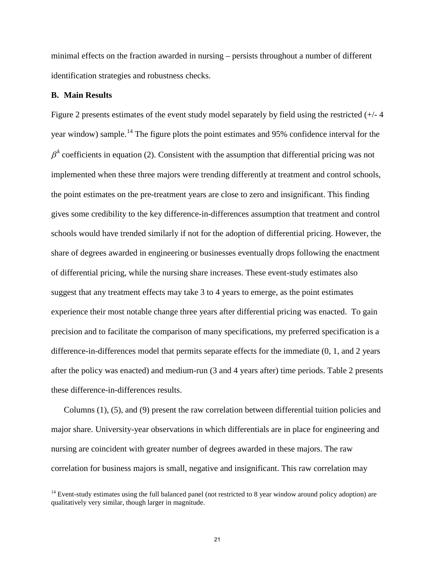minimal effects on the fraction awarded in nursing – persists throughout a number of different identification strategies and robustness checks.

#### **B. Main Results**

Figure 2 presents estimates of the event study model separately by field using the restricted (+/- 4 year window) sample.<sup>[14](#page-22-0)</sup> The figure plots the point estimates and 95% confidence interval for the  $\beta^k$  coefficients in equation (2). Consistent with the assumption that differential pricing was not implemented when these three majors were trending differently at treatment and control schools, the point estimates on the pre-treatment years are close to zero and insignificant. This finding gives some credibility to the key difference-in-differences assumption that treatment and control schools would have trended similarly if not for the adoption of differential pricing. However, the share of degrees awarded in engineering or businesses eventually drops following the enactment of differential pricing, while the nursing share increases. These event-study estimates also suggest that any treatment effects may take 3 to 4 years to emerge, as the point estimates experience their most notable change three years after differential pricing was enacted. To gain precision and to facilitate the comparison of many specifications, my preferred specification is a difference-in-differences model that permits separate effects for the immediate (0, 1, and 2 years after the policy was enacted) and medium-run (3 and 4 years after) time periods. Table 2 presents these difference-in-differences results.

Columns (1), (5), and (9) present the raw correlation between differential tuition policies and major share. University-year observations in which differentials are in place for engineering and nursing are coincident with greater number of degrees awarded in these majors. The raw correlation for business majors is small, negative and insignificant. This raw correlation may

<span id="page-22-0"></span><sup>&</sup>lt;sup>14</sup> Event-study estimates using the full balanced panel (not restricted to 8 year window around policy adoption) are qualitatively very similar, though larger in magnitude.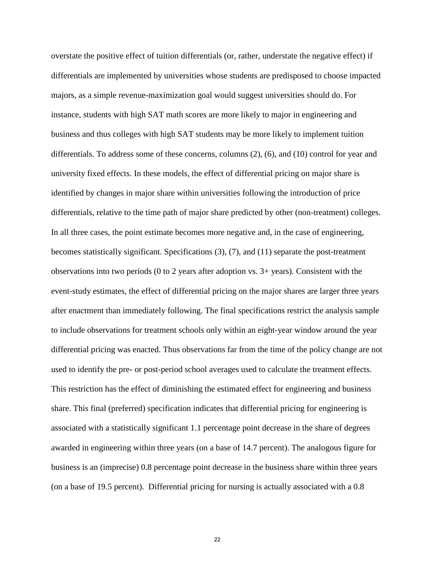overstate the positive effect of tuition differentials (or, rather, understate the negative effect) if differentials are implemented by universities whose students are predisposed to choose impacted majors, as a simple revenue-maximization goal would suggest universities should do. For instance, students with high SAT math scores are more likely to major in engineering and business and thus colleges with high SAT students may be more likely to implement tuition differentials. To address some of these concerns, columns (2), (6), and (10) control for year and university fixed effects. In these models, the effect of differential pricing on major share is identified by changes in major share within universities following the introduction of price differentials, relative to the time path of major share predicted by other (non-treatment) colleges. In all three cases, the point estimate becomes more negative and, in the case of engineering, becomes statistically significant. Specifications (3), (7), and (11) separate the post-treatment observations into two periods (0 to 2 years after adoption vs. 3+ years). Consistent with the event-study estimates, the effect of differential pricing on the major shares are larger three years after enactment than immediately following. The final specifications restrict the analysis sample to include observations for treatment schools only within an eight-year window around the year differential pricing was enacted. Thus observations far from the time of the policy change are not used to identify the pre- or post-period school averages used to calculate the treatment effects. This restriction has the effect of diminishing the estimated effect for engineering and business share. This final (preferred) specification indicates that differential pricing for engineering is associated with a statistically significant 1.1 percentage point decrease in the share of degrees awarded in engineering within three years (on a base of 14.7 percent). The analogous figure for business is an (imprecise) 0.8 percentage point decrease in the business share within three years (on a base of 19.5 percent). Differential pricing for nursing is actually associated with a 0.8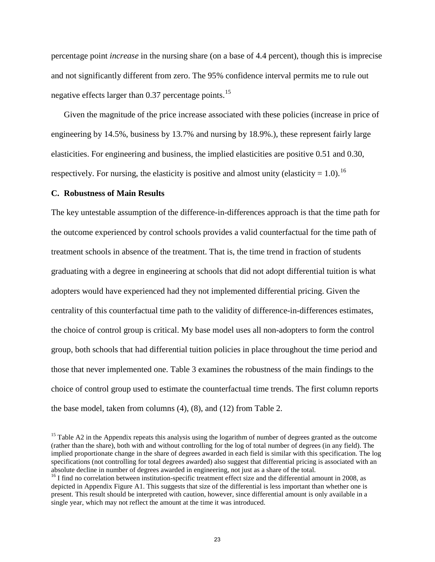percentage point *increase* in the nursing share (on a base of 4.4 percent), though this is imprecise and not significantly different from zero. The 95% confidence interval permits me to rule out negative effects larger than 0.37 percentage points.<sup>[15](#page-24-0)</sup>

Given the magnitude of the price increase associated with these policies (increase in price of engineering by 14.5%, business by 13.7% and nursing by 18.9%.), these represent fairly large elasticities. For engineering and business, the implied elasticities are positive 0.51 and 0.30, respectively. For nursing, the elasticity is positive and almost unity (elasticity = 1.0).<sup>[16](#page-24-1)</sup>

#### **C. Robustness of Main Results**

The key untestable assumption of the difference-in-differences approach is that the time path for the outcome experienced by control schools provides a valid counterfactual for the time path of treatment schools in absence of the treatment. That is, the time trend in fraction of students graduating with a degree in engineering at schools that did not adopt differential tuition is what adopters would have experienced had they not implemented differential pricing. Given the centrality of this counterfactual time path to the validity of difference-in-differences estimates, the choice of control group is critical. My base model uses all non-adopters to form the control group, both schools that had differential tuition policies in place throughout the time period and those that never implemented one. Table 3 examines the robustness of the main findings to the choice of control group used to estimate the counterfactual time trends. The first column reports the base model, taken from columns (4), (8), and (12) from Table 2.

<span id="page-24-0"></span> $15$  Table A2 in the Appendix repeats this analysis using the logarithm of number of degrees granted as the outcome (rather than the share), both with and without controlling for the log of total number of degrees (in any field). The implied proportionate change in the share of degrees awarded in each field is similar with this specification. The log specifications (not controlling for total degrees awarded) also suggest that differential pricing is associated with an absolute decline in number of degrees awarded in engineering, not just as a share of the total.

<span id="page-24-1"></span> $16$  I find no correlation between institution-specific treatment effect size and the differential amount in 2008, as depicted in Appendix Figure A1. This suggests that size of the differential is less important than whether one is present. This result should be interpreted with caution, however, since differential amount is only available in a single year, which may not reflect the amount at the time it was introduced.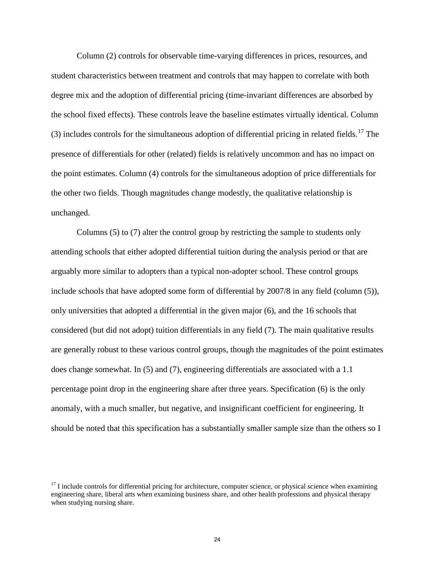Column (2) controls for observable time-varying differences in prices, resources, and student characteristics between treatment and controls that may happen to correlate with both degree mix and the adoption of differential pricing (time-invariant differences are absorbed by the school fixed effects). These controls leave the baseline estimates virtually identical. Column (3) includes controls for the simultaneous adoption of differential pricing in related fields.<sup>[17](#page-25-0)</sup> The presence of differentials for other (related) fields is relatively uncommon and has no impact on the point estimates. Column (4) controls for the simultaneous adoption of price differentials for the other two fields. Though magnitudes change modestly, the qualitative relationship is unchanged.

Columns (5) to (7) alter the control group by restricting the sample to students only attending schools that either adopted differential tuition during the analysis period or that are arguably more similar to adopters than a typical non-adopter school. These control groups include schools that have adopted some form of differential by 2007/8 in any field (column (5)), only universities that adopted a differential in the given major (6), and the 16 schools that considered (but did not adopt) tuition differentials in any field (7). The main qualitative results are generally robust to these various control groups, though the magnitudes of the point estimates does change somewhat. In (5) and (7), engineering differentials are associated with a 1.1 percentage point drop in the engineering share after three years. Specification (6) is the only anomaly, with a much smaller, but negative, and insignificant coefficient for engineering. It should be noted that this specification has a substantially smaller sample size than the others so I

<span id="page-25-0"></span> $17$  I include controls for differential pricing for architecture, computer science, or physical science when examining engineering share, liberal arts when examining business share, and other health professions and physical therapy when studying nursing share.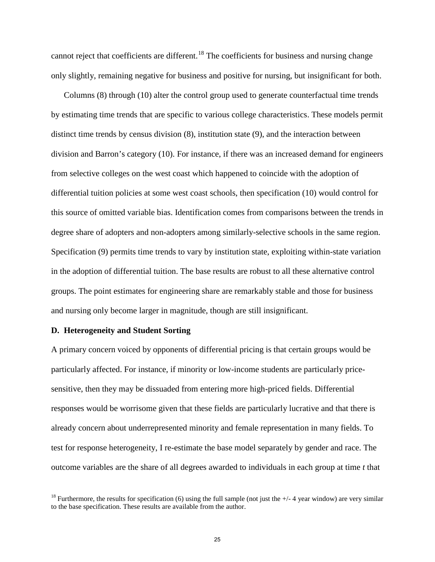cannot reject that coefficients are different.<sup>[18](#page-26-0)</sup> The coefficients for business and nursing change only slightly, remaining negative for business and positive for nursing, but insignificant for both.

Columns (8) through (10) alter the control group used to generate counterfactual time trends by estimating time trends that are specific to various college characteristics. These models permit distinct time trends by census division (8), institution state (9), and the interaction between division and Barron's category (10). For instance, if there was an increased demand for engineers from selective colleges on the west coast which happened to coincide with the adoption of differential tuition policies at some west coast schools, then specification (10) would control for this source of omitted variable bias. Identification comes from comparisons between the trends in degree share of adopters and non-adopters among similarly-selective schools in the same region. Specification (9) permits time trends to vary by institution state, exploiting within-state variation in the adoption of differential tuition. The base results are robust to all these alternative control groups. The point estimates for engineering share are remarkably stable and those for business and nursing only become larger in magnitude, though are still insignificant.

#### **D. Heterogeneity and Student Sorting**

A primary concern voiced by opponents of differential pricing is that certain groups would be particularly affected. For instance, if minority or low-income students are particularly pricesensitive, then they may be dissuaded from entering more high-priced fields. Differential responses would be worrisome given that these fields are particularly lucrative and that there is already concern about underrepresented minority and female representation in many fields. To test for response heterogeneity, I re-estimate the base model separately by gender and race. The outcome variables are the share of all degrees awarded to individuals in each group at time *t* that

<span id="page-26-0"></span><sup>&</sup>lt;sup>18</sup> Furthermore, the results for specification (6) using the full sample (not just the  $+/$ -4 year window) are very similar to the base specification. These results are available from the author.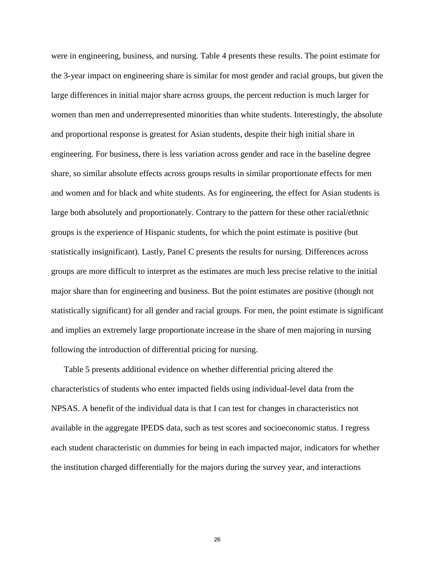were in engineering, business, and nursing. Table 4 presents these results. The point estimate for the 3-year impact on engineering share is similar for most gender and racial groups, but given the large differences in initial major share across groups, the percent reduction is much larger for women than men and underrepresented minorities than white students. Interestingly, the absolute and proportional response is greatest for Asian students, despite their high initial share in engineering. For business, there is less variation across gender and race in the baseline degree share, so similar absolute effects across groups results in similar proportionate effects for men and women and for black and white students. As for engineering, the effect for Asian students is large both absolutely and proportionately. Contrary to the pattern for these other racial/ethnic groups is the experience of Hispanic students, for which the point estimate is positive (but statistically insignificant). Lastly, Panel C presents the results for nursing. Differences across groups are more difficult to interpret as the estimates are much less precise relative to the initial major share than for engineering and business. But the point estimates are positive (though not statistically significant) for all gender and racial groups. For men, the point estimate is significant and implies an extremely large proportionate increase in the share of men majoring in nursing following the introduction of differential pricing for nursing.

Table 5 presents additional evidence on whether differential pricing altered the characteristics of students who enter impacted fields using individual-level data from the NPSAS. A benefit of the individual data is that I can test for changes in characteristics not available in the aggregate IPEDS data, such as test scores and socioeconomic status. I regress each student characteristic on dummies for being in each impacted major, indicators for whether the institution charged differentially for the majors during the survey year, and interactions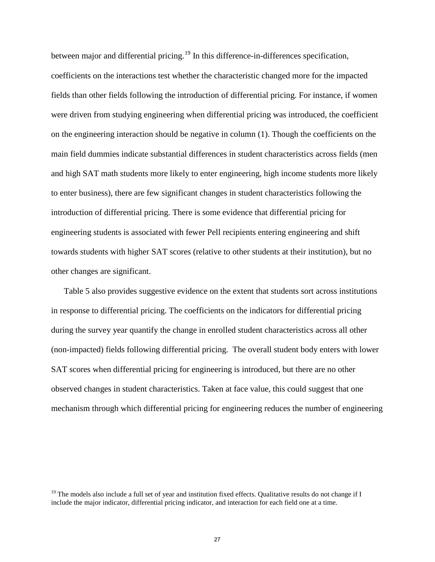between major and differential pricing.<sup>[19](#page-28-0)</sup> In this difference-in-differences specification, coefficients on the interactions test whether the characteristic changed more for the impacted fields than other fields following the introduction of differential pricing. For instance, if women were driven from studying engineering when differential pricing was introduced, the coefficient on the engineering interaction should be negative in column (1). Though the coefficients on the main field dummies indicate substantial differences in student characteristics across fields (men and high SAT math students more likely to enter engineering, high income students more likely to enter business), there are few significant changes in student characteristics following the introduction of differential pricing. There is some evidence that differential pricing for engineering students is associated with fewer Pell recipients entering engineering and shift towards students with higher SAT scores (relative to other students at their institution), but no other changes are significant.

Table 5 also provides suggestive evidence on the extent that students sort across institutions in response to differential pricing. The coefficients on the indicators for differential pricing during the survey year quantify the change in enrolled student characteristics across all other (non-impacted) fields following differential pricing. The overall student body enters with lower SAT scores when differential pricing for engineering is introduced, but there are no other observed changes in student characteristics. Taken at face value, this could suggest that one mechanism through which differential pricing for engineering reduces the number of engineering

<span id="page-28-0"></span><sup>&</sup>lt;sup>19</sup> The models also include a full set of year and institution fixed effects. Qualitative results do not change if I include the major indicator, differential pricing indicator, and interaction for each field one at a time.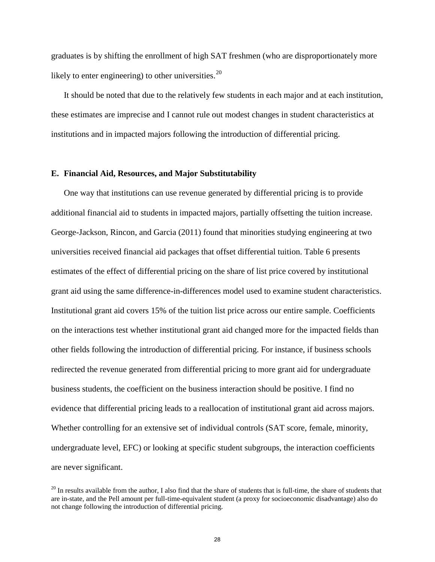graduates is by shifting the enrollment of high SAT freshmen (who are disproportionately more likely to enter engineering) to other universities. $20$ 

It should be noted that due to the relatively few students in each major and at each institution, these estimates are imprecise and I cannot rule out modest changes in student characteristics at institutions and in impacted majors following the introduction of differential pricing.

#### **E. Financial Aid, Resources, and Major Substitutability**

One way that institutions can use revenue generated by differential pricing is to provide additional financial aid to students in impacted majors, partially offsetting the tuition increase. George-Jackson, Rincon, and Garcia (2011) found that minorities studying engineering at two universities received financial aid packages that offset differential tuition. Table 6 presents estimates of the effect of differential pricing on the share of list price covered by institutional grant aid using the same difference-in-differences model used to examine student characteristics. Institutional grant aid covers 15% of the tuition list price across our entire sample. Coefficients on the interactions test whether institutional grant aid changed more for the impacted fields than other fields following the introduction of differential pricing. For instance, if business schools redirected the revenue generated from differential pricing to more grant aid for undergraduate business students, the coefficient on the business interaction should be positive. I find no evidence that differential pricing leads to a reallocation of institutional grant aid across majors. Whether controlling for an extensive set of individual controls (SAT score, female, minority, undergraduate level, EFC) or looking at specific student subgroups, the interaction coefficients are never significant.

<span id="page-29-0"></span> $^{20}$  In results available from the author, I also find that the share of students that is full-time, the share of students that are in-state, and the Pell amount per full-time-equivalent student (a proxy for socioeconomic disadvantage) also do not change following the introduction of differential pricing.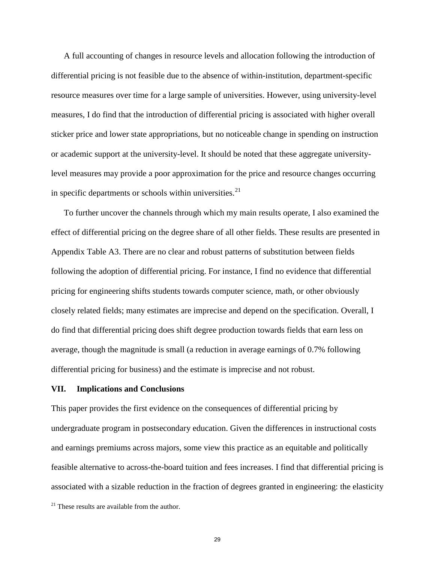A full accounting of changes in resource levels and allocation following the introduction of differential pricing is not feasible due to the absence of within-institution, department-specific resource measures over time for a large sample of universities. However, using university-level measures, I do find that the introduction of differential pricing is associated with higher overall sticker price and lower state appropriations, but no noticeable change in spending on instruction or academic support at the university-level. It should be noted that these aggregate universitylevel measures may provide a poor approximation for the price and resource changes occurring in specific departments or schools within universities. $^{21}$  $^{21}$  $^{21}$ 

To further uncover the channels through which my main results operate, I also examined the effect of differential pricing on the degree share of all other fields. These results are presented in Appendix Table A3. There are no clear and robust patterns of substitution between fields following the adoption of differential pricing. For instance, I find no evidence that differential pricing for engineering shifts students towards computer science, math, or other obviously closely related fields; many estimates are imprecise and depend on the specification. Overall, I do find that differential pricing does shift degree production towards fields that earn less on average, though the magnitude is small (a reduction in average earnings of 0.7% following differential pricing for business) and the estimate is imprecise and not robust.

### **VII. Implications and Conclusions**

This paper provides the first evidence on the consequences of differential pricing by undergraduate program in postsecondary education. Given the differences in instructional costs and earnings premiums across majors, some view this practice as an equitable and politically feasible alternative to across-the-board tuition and fees increases. I find that differential pricing is associated with a sizable reduction in the fraction of degrees granted in engineering: the elasticity

<span id="page-30-0"></span> $21$  These results are available from the author.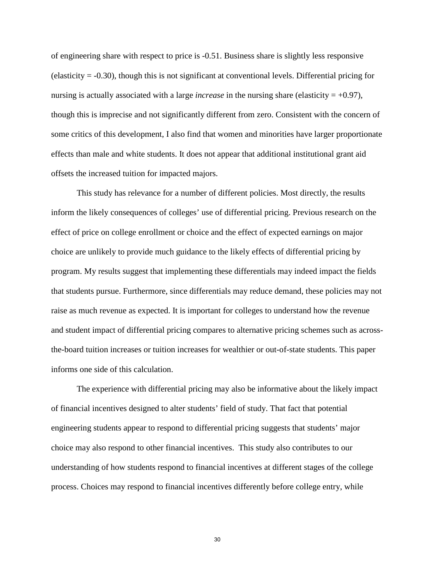of engineering share with respect to price is -0.51. Business share is slightly less responsive (elasticity = -0.30), though this is not significant at conventional levels. Differential pricing for nursing is actually associated with a large *increase* in the nursing share (elasticity  $= +0.97$ ), though this is imprecise and not significantly different from zero. Consistent with the concern of some critics of this development, I also find that women and minorities have larger proportionate effects than male and white students. It does not appear that additional institutional grant aid offsets the increased tuition for impacted majors.

This study has relevance for a number of different policies. Most directly, the results inform the likely consequences of colleges' use of differential pricing. Previous research on the effect of price on college enrollment or choice and the effect of expected earnings on major choice are unlikely to provide much guidance to the likely effects of differential pricing by program. My results suggest that implementing these differentials may indeed impact the fields that students pursue. Furthermore, since differentials may reduce demand, these policies may not raise as much revenue as expected. It is important for colleges to understand how the revenue and student impact of differential pricing compares to alternative pricing schemes such as acrossthe-board tuition increases or tuition increases for wealthier or out-of-state students. This paper informs one side of this calculation.

The experience with differential pricing may also be informative about the likely impact of financial incentives designed to alter students' field of study. That fact that potential engineering students appear to respond to differential pricing suggests that students' major choice may also respond to other financial incentives. This study also contributes to our understanding of how students respond to financial incentives at different stages of the college process. Choices may respond to financial incentives differently before college entry, while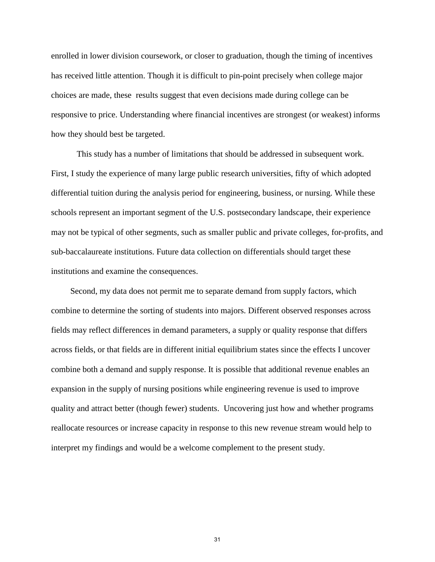enrolled in lower division coursework, or closer to graduation, though the timing of incentives has received little attention. Though it is difficult to pin-point precisely when college major choices are made, these results suggest that even decisions made during college can be responsive to price. Understanding where financial incentives are strongest (or weakest) informs how they should best be targeted.

This study has a number of limitations that should be addressed in subsequent work. First, I study the experience of many large public research universities, fifty of which adopted differential tuition during the analysis period for engineering, business, or nursing. While these schools represent an important segment of the U.S. postsecondary landscape, their experience may not be typical of other segments, such as smaller public and private colleges, for-profits, and sub-baccalaureate institutions. Future data collection on differentials should target these institutions and examine the consequences.

Second, my data does not permit me to separate demand from supply factors, which combine to determine the sorting of students into majors. Different observed responses across fields may reflect differences in demand parameters, a supply or quality response that differs across fields, or that fields are in different initial equilibrium states since the effects I uncover combine both a demand and supply response. It is possible that additional revenue enables an expansion in the supply of nursing positions while engineering revenue is used to improve quality and attract better (though fewer) students. Uncovering just how and whether programs reallocate resources or increase capacity in response to this new revenue stream would help to interpret my findings and would be a welcome complement to the present study.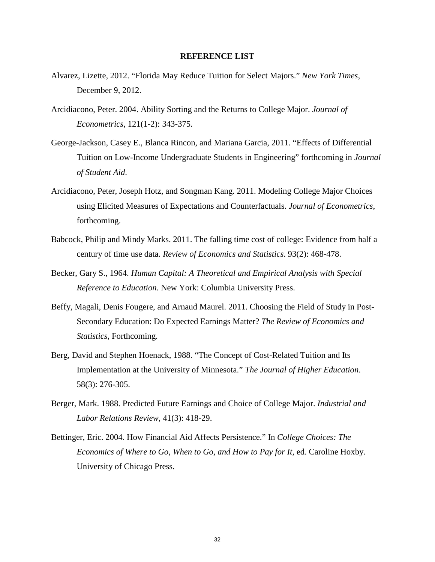#### **REFERENCE LIST**

- Alvarez, Lizette, 2012. "Florida May Reduce Tuition for Select Majors." *New York Times*, December 9, 2012.
- Arcidiacono, Peter. 2004. Ability Sorting and the Returns to College Major. *Journal of Econometrics*, 121(1-2): 343-375.
- George-Jackson, Casey E., Blanca Rincon, and Mariana Garcia, 2011. "Effects of Differential Tuition on Low-Income Undergraduate Students in Engineering" forthcoming in *Journal of Student Aid*.
- Arcidiacono, Peter, Joseph Hotz, and Songman Kang. 2011. Modeling College Major Choices using Elicited Measures of Expectations and Counterfactuals. *Journal of Econometrics*, forthcoming.
- Babcock, Philip and Mindy Marks. 2011. The falling time cost of college: Evidence from half a century of time use data. *Review of Economics and Statistics*. 93(2): 468-478.
- Becker, Gary S., 1964. *Human Capital: A Theoretical and Empirical Analysis with Special Reference to Education*. New York: Columbia University Press.
- Beffy, Magali, Denis Fougere, and Arnaud Maurel. 2011. Choosing the Field of Study in Post-Secondary Education: Do Expected Earnings Matter? *The Review of Economics and Statistics*, Forthcoming.
- Berg, David and Stephen Hoenack, 1988. "The Concept of Cost-Related Tuition and Its Implementation at the University of Minnesota." *The Journal of Higher Education*. 58(3): 276-305.
- Berger, Mark. 1988. Predicted Future Earnings and Choice of College Major. *Industrial and Labor Relations Review*, 41(3): 418-29.
- Bettinger, Eric. 2004. How Financial Aid Affects Persistence." In *College Choices: The Economics of Where to Go, When to Go, and How to Pay for It*, ed. Caroline Hoxby. University of Chicago Press.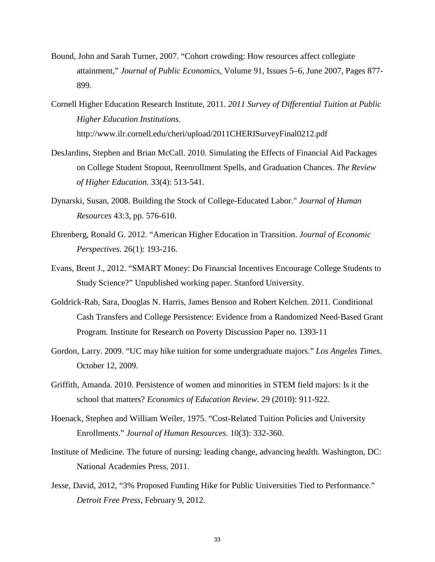- Bound, John and Sarah Turner, 2007. "Cohort crowding: How resources affect collegiate attainment," *Journal of Public Economics*, Volume 91, Issues 5–6, June 2007, Pages 877- 899.
- Cornell Higher Education Research Institute, 2011. *2011 Survey of Differential Tuition at Public Higher Education Institutions*. http://www.ilr.cornell.edu/cheri/upload/2011CHERISurveyFinal0212.pdf
- DesJardins, Stephen and Brian McCall. 2010. Simulating the Effects of Financial Aid Packages on College Student Stopout, Reenrollment Spells, and Graduation Chances. *The Review of Higher Education*. 33(4): 513-541.
- Dynarski, Susan, 2008. Building the Stock of College-Educated Labor." *Journal of Human Resources* 43:3, pp. 576-610.
- Ehrenberg, Ronald G. 2012. "American Higher Education in Transition. *Journal of Economic Perspectives*. 26(1): 193-216.
- Evans, Brent J., 2012. "SMART Money: Do Financial Incentives Encourage College Students to Study Science?" Unpublished working paper. Stanford University.
- Goldrick‐Rab, Sara, Douglas N. Harris, James Benson and Robert Kelchen. 2011. Conditional Cash Transfers and College Persistence: Evidence from a Randomized Need‐Based Grant Program. Institute for Research on Poverty Discussion Paper no. 1393‐11
- Gordon, Larry. 2009. "UC may hike tuition for some undergraduate majors." *Los Angeles Times*. October 12, 2009.
- Griffith, Amanda. 2010. Persistence of women and minorities in STEM field majors: Is it the school that matters? *Economics of Education Review*. 29 (2010): 911-922.
- Hoenack, Stephen and William Weiler, 1975. "Cost-Related Tuition Policies and University Enrollments." *Journal of Human Resources*. 10(3): 332-360.
- Institute of Medicine. The future of nursing: leading change, advancing health. Washington, DC: National Academies Press, 2011.
- Jesse, David, 2012, "3% Proposed Funding Hike for Public Universities Tied to Performance." *Detroit Free Press*, February 9, 2012.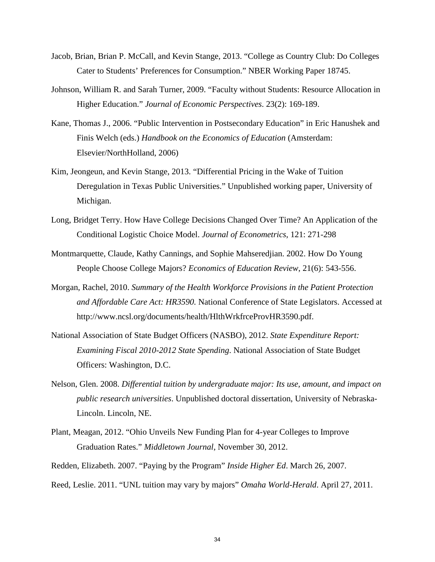- Jacob, Brian, Brian P. McCall, and Kevin Stange, 2013. "College as Country Club: Do Colleges Cater to Students' Preferences for Consumption." NBER Working Paper 18745.
- Johnson, William R. and Sarah Turner, 2009. "Faculty without Students: Resource Allocation in Higher Education." *Journal of Economic Perspectives*. 23(2): 169-189.
- Kane, Thomas J., 2006. "Public Intervention in Postsecondary Education" in Eric Hanushek and Finis Welch (eds.) *Handbook on the Economics of Education* (Amsterdam: Elsevier/NorthHolland, 2006)
- Kim, Jeongeun, and Kevin Stange, 2013. "Differential Pricing in the Wake of Tuition Deregulation in Texas Public Universities." Unpublished working paper, University of Michigan.
- Long, Bridget Terry. How Have College Decisions Changed Over Time? An Application of the Conditional Logistic Choice Model. *Journal of Econometrics*, 121: 271-298
- Montmarquette, Claude, Kathy Cannings, and Sophie Mahseredjian. 2002. How Do Young People Choose College Majors? *Economics of Education Review*, 21(6): 543-556.
- Morgan, Rachel, 2010. *Summary of the Health Workforce Provisions in the Patient Protection and Affordable Care Act: HR3590.* National Conference of State Legislators. Accessed at http://www.ncsl.org/documents/health/HlthWrkfrceProvHR3590.pdf.
- National Association of State Budget Officers (NASBO), 2012. *State Expenditure Report: Examining Fiscal 2010-2012 State Spending*. National Association of State Budget Officers: Washington, D.C.
- Nelson, Glen. 2008. *Differential tuition by undergraduate major: Its use, amount, and impact on public research universities*. Unpublished doctoral dissertation, University of Nebraska-Lincoln. Lincoln, NE.
- Plant, Meagan, 2012. "Ohio Unveils New Funding Plan for 4-year Colleges to Improve Graduation Rates." *Middletown Journal*, November 30, 2012.
- Redden, Elizabeth. 2007. "Paying by the Program" *Inside Higher Ed*. March 26, 2007.
- Reed, Leslie. 2011. "UNL tuition may vary by majors" *Omaha World-Herald*. April 27, 2011.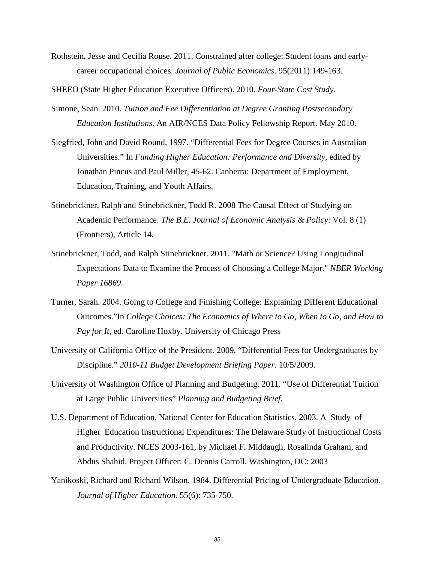Rothstein, Jesse and Cecilia Rouse. 2011. Constrained after college: Student loans and earlycareer occupational choices. *Journal of Public Economics*. 95(2011):149-163.

SHEEO (State Higher Education Executive Officers). 2010. *Four-State Cost Study*.

- Simone, Sean. 2010. *Tuition and Fee Differentiation at Degree Granting Postsecondary Education Institutions*. An AIR/NCES Data Policy Fellowship Report. May 2010.
- Siegfried, John and David Round, 1997. "Differential Fees for Degree Courses in Australian Universities." In *Funding Higher Education: Performance and Diversity*, edited by Jonathan Pincus and Paul Miller, 45-62. Canberra: Department of Employment, Education, Training, and Youth Affairs.
- Stinebrickner, Ralph and Stinebrickner, Todd R. 2008 The Causal Effect of Studying on Academic Performance. *The B.E. Journal of Economic Analysis & Policy*: Vol. 8 (1) (Frontiers), Article 14.
- Stinebrickner, Todd, and Ralph Stinebrickner. 2011. "Math or Science? Using Longitudinal Expectations Data to Examine the Process of Choosing a College Major." *NBER Working Paper 16869*.
- Turner, Sarah. 2004. Going to College and Finishing College: Explaining Different Educational Outcomes."In *College Choices: The Economics of Where to Go, When to Go, and How to Pay for It*, ed. Caroline Hoxby. University of Chicago Press
- University of California Office of the President. 2009. "Differential Fees for Undergraduates by Discipline." *2010-11 Budget Development Briefing Paper*. 10/5/2009.
- University of Washington Office of Planning and Budgeting. 2011. "Use of Differential Tuition at Large Public Universities" *Planning and Budgeting Brief*.
- U.S. Department of Education, National Center for Education Statistics. 2003. A Study of Higher Education Instructional Expenditures: The Delaware Study of Instructional Costs and Productivity. NCES 2003-161, by Michael F. Middaugh, Rosalinda Graham, and Abdus Shahid. Project Officer: C. Dennis Carroll. Washington, DC: 2003
- Yanikoski, Richard and Richard Wilson. 1984. Differential Pricing of Undergraduate Education. *Journal of Higher Education*. 55(6): 735-750.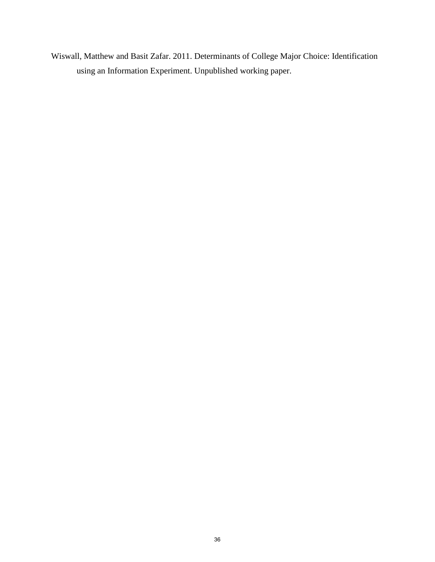Wiswall, Matthew and Basit Zafar. 2011. Determinants of College Major Choice: Identification using an Information Experiment. Unpublished working paper.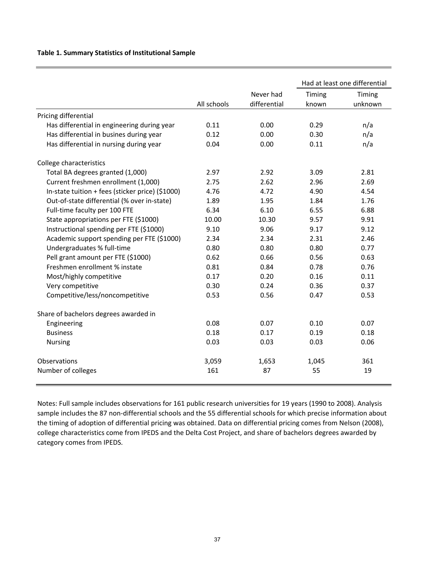#### **Table 1. Summary Statistics of Institutional Sample**

|                                                  |             |              | Had at least one differential |         |  |
|--------------------------------------------------|-------------|--------------|-------------------------------|---------|--|
|                                                  |             | Never had    | Timing                        | Timing  |  |
|                                                  | All schools | differential | known                         | unknown |  |
| Pricing differential                             |             |              |                               |         |  |
| Has differential in engineering during year      | 0.11        | 0.00         | 0.29                          | n/a     |  |
| Has differential in busines during year          | 0.12        | 0.00         | 0.30                          | n/a     |  |
| Has differential in nursing during year          | 0.04        | 0.00         | 0.11                          | n/a     |  |
| College characteristics                          |             |              |                               |         |  |
| Total BA degrees granted (1,000)                 | 2.97        | 2.92         | 3.09                          | 2.81    |  |
| Current freshmen enrollment (1,000)              | 2.75        | 2.62         | 2.96                          | 2.69    |  |
| In-state tuition + fees (sticker price) (\$1000) | 4.76        | 4.72         | 4.90                          | 4.54    |  |
| Out-of-state differential (% over in-state)      | 1.89        | 1.95         | 1.84                          | 1.76    |  |
| Full-time faculty per 100 FTE                    | 6.34        | 6.10         | 6.55                          | 6.88    |  |
| State appropriations per FTE (\$1000)            | 10.00       | 10.30        | 9.57                          | 9.91    |  |
| Instructional spending per FTE (\$1000)          | 9.10        | 9.06         | 9.17                          | 9.12    |  |
| Academic support spending per FTE (\$1000)       | 2.34        | 2.34         | 2.31                          | 2.46    |  |
| Undergraduates % full-time                       | 0.80        | 0.80         | 0.80                          | 0.77    |  |
| Pell grant amount per FTE (\$1000)               | 0.62        | 0.66         | 0.56                          | 0.63    |  |
| Freshmen enrollment % instate                    | 0.81        | 0.84         | 0.78                          | 0.76    |  |
| Most/highly competitive                          | 0.17        | 0.20         | 0.16                          | 0.11    |  |
| Very competitive                                 | 0.30        | 0.24         | 0.36                          | 0.37    |  |
| Competitive/less/noncompetitive                  | 0.53        | 0.56         | 0.47                          | 0.53    |  |
| Share of bachelors degrees awarded in            |             |              |                               |         |  |
| Engineering                                      | 0.08        | 0.07         | 0.10                          | 0.07    |  |
| <b>Business</b>                                  | 0.18        | 0.17         | 0.19                          | 0.18    |  |
| <b>Nursing</b>                                   | 0.03        | 0.03         | 0.03                          | 0.06    |  |
| Observations                                     | 3,059       | 1,653        | 1,045                         | 361     |  |
| Number of colleges                               | 161         | 87           | 55                            | 19      |  |

Notes: Full sample includes observations for 161 public research universities for 19 years (1990 to 2008). Analysis sample includes the 87 non-differential schools and the 55 differential schools for which precise information about the timing of adoption of differential pricing was obtained. Data on differential pricing comes from Nelson (2008), college characteristics come from IPEDS and the Delta Cost Project, and share of bachelors degrees awarded by category comes from IPEDS.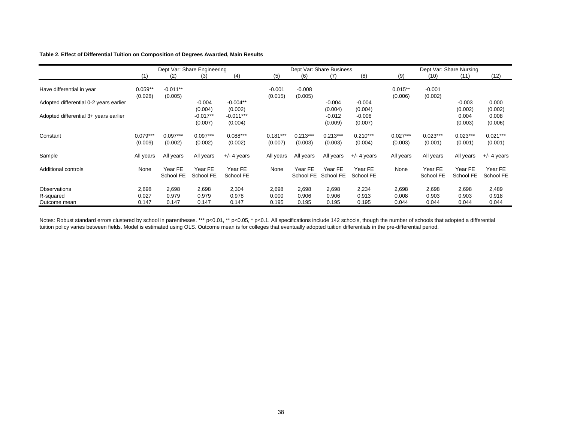#### **Table 2. Effect of Differential Tuition on Composition of Degrees Awarded, Main Results**

|                                           | Dept Var: Share Engineering |                         |                                  |                                   | Dept Var: Share Business |                         |                                |                                | Dept Var: Share Nursing |                         |                             |                             |
|-------------------------------------------|-----------------------------|-------------------------|----------------------------------|-----------------------------------|--------------------------|-------------------------|--------------------------------|--------------------------------|-------------------------|-------------------------|-----------------------------|-----------------------------|
|                                           |                             | (2)                     | (3)                              | (4)                               | (5)                      | (6)                     | (7)                            | (8)                            | (9)                     | (10)                    | (11)                        | (12)                        |
| Have differential in year                 | $0.059**$<br>(0.028)        | $-0.011**$<br>(0.005)   |                                  |                                   | $-0.001$<br>(0.015)      | $-0.008$<br>(0.005)     |                                |                                | $0.015**$<br>(0.006)    | $-0.001$<br>(0.002)     |                             |                             |
| Adopted differential 0-2 years earlier    |                             |                         | $-0.004$                         | $-0.004**$                        |                          |                         | $-0.004$                       | $-0.004$                       |                         |                         | $-0.003$                    | 0.000                       |
| Adopted differential 3+ years earlier     |                             |                         | (0.004)<br>$-0.017**$<br>(0.007) | (0.002)<br>$-0.011***$<br>(0.004) |                          |                         | (0.004)<br>$-0.012$<br>(0.009) | (0.004)<br>$-0.008$<br>(0.007) |                         |                         | (0.002)<br>0.004<br>(0.003) | (0.002)<br>0.008<br>(0.006) |
| Constant                                  | $0.079***$<br>(0.009)       | $0.097***$<br>(0.002)   | $0.097***$<br>(0.002)            | $0.088***$<br>(0.002)             | $0.181***$<br>(0.007)    | $0.213***$<br>(0.003)   | $0.213***$<br>(0.003)          | $0.210***$<br>(0.004)          | $0.027***$<br>(0.003)   | $0.023***$<br>(0.001)   | $0.023***$<br>(0.001)       | $0.021***$<br>(0.001)       |
| Sample                                    | All years                   | All years               | All years                        | $+/-$ 4 years                     | All years                | All years               | All years                      | $+/-$ 4 years                  | All years               | All years               | All years                   | $+/-$ 4 years               |
| Additional controls                       | None                        | Year FE<br>School FE    | Year FE<br>School FE             | Year FE<br>School FE              | None                     | Year FE<br>School FE    | Year FE<br>School FE           | Year FE<br>School FE           | None                    | Year FE<br>School FE    | Year FE<br>School FE        | Year FE<br>School FE        |
| Observations<br>R-squared<br>Outcome mean | 2,698<br>0.027<br>0.147     | 2,698<br>0.979<br>0.147 | 2,698<br>0.979<br>0.147          | 2,304<br>0.978<br>0.147           | 2,698<br>0.000<br>0.195  | 2,698<br>0.906<br>0.195 | 2,698<br>0.906<br>0.195        | 2,234<br>0.913<br>0.195        | 2,698<br>0.008<br>0.044 | 2,698<br>0.903<br>0.044 | 2,698<br>0.903<br>0.044     | 2,489<br>0.918<br>0.044     |

Notes: Robust standard errors clustered by school in parentheses. \*\*\* p<0.01, \*\* p<0.05, \* p<0.1. All specifications include 142 schools, though the number of schools that adopted a differential tuition policy varies between fields. Model is estimated using OLS. Outcome mean is for colleges that eventually adopted tuition differentials in the pre-differential period.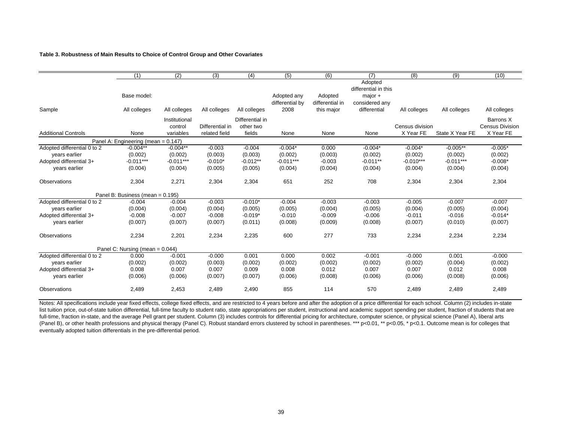#### **Table 3. Robustness of Main Results to Choice of Control Group and Other Covariates**

|                             | (1)                                 | (2)           | (3)             | (4)             | (5)             | (6)             | (7)                  | (8)             | (9)             | (10)                   |
|-----------------------------|-------------------------------------|---------------|-----------------|-----------------|-----------------|-----------------|----------------------|-----------------|-----------------|------------------------|
|                             |                                     |               |                 |                 |                 |                 | Adopted              |                 |                 |                        |
|                             |                                     |               |                 |                 |                 |                 | differential in this |                 |                 |                        |
|                             | Base model:                         |               |                 |                 | Adopted any     | Adopted         | $major +$            |                 |                 |                        |
|                             |                                     |               |                 |                 | differential by | differential in | considered any       |                 |                 |                        |
| Sample                      | All colleges                        | All colleges  | All colleges    | All colleges    | 2008            | this major      | differential         | All colleges    | All colleges    | All colleges           |
|                             |                                     | Institutional |                 | Differential in |                 |                 |                      |                 |                 | Barrons X              |
|                             |                                     | control       | Differential in | other two       |                 |                 |                      | Census division |                 | <b>Census Division</b> |
| <b>Additional Controls</b>  | None                                | variables     | related field   | fields          | None            | None            | None                 | X Year FE       | State X Year FE | X Year FE              |
|                             | Panel A: Engineering (mean = 0.147) |               |                 |                 |                 |                 |                      |                 |                 |                        |
| Adopted differential 0 to 2 | $-0.004**$                          | $-0.004**$    | $-0.003$        | $-0.004$        | $-0.004*$       | 0.000           | $-0.004*$            | $-0.004*$       | $-0.005**$      | $-0.005*$              |
| vears earlier               | (0.002)                             | (0.002)       | (0.003)         | (0.003)         | (0.002)         | (0.003)         | (0.002)              | (0.002)         | (0.002)         | (0.002)                |
| Adopted differential 3+     | $-0.011***$                         | $-0.011***$   | $-0.010*$       | $-0.012**$      | $-0.011***$     | $-0.003$        | $-0.011**$           | $-0.010***$     | $-0.011***$     | $-0.008*$              |
| vears earlier               | (0.004)                             | (0.004)       | (0.005)         | (0.005)         | (0.004)         | (0.004)         | (0.004)              | (0.004)         | (0.004)         | (0.004)                |
| <b>Observations</b>         | 2,304                               | 2,271         | 2,304           | 2,304           | 651             | 252             | 708                  | 2,304           | 2,304           | 2,304                  |
|                             | Panel B: Business (mean = 0.195)    |               |                 |                 |                 |                 |                      |                 |                 |                        |
| Adopted differential 0 to 2 | $-0.004$                            | $-0.004$      | $-0.003$        | $-0.010*$       | $-0.004$        | $-0.003$        | $-0.003$             | $-0.005$        | $-0.007$        | $-0.007$               |
| vears earlier               | (0.004)                             | (0.004)       | (0.004)         | (0.005)         | (0.005)         | (0.004)         | (0.005)              | (0.004)         | (0.005)         | (0.004)                |
| Adopted differential 3+     | $-0.008$                            | $-0.007$      | $-0.008$        | $-0.019*$       | $-0.010$        | $-0.009$        | $-0.006$             | $-0.011$        | $-0.016$        | $-0.014*$              |
| years earlier               | (0.007)                             | (0.007)       | (0.007)         | (0.011)         | (0.008)         | (0.009)         | (0.008)              | (0.007)         | (0.010)         | (0.007)                |
| Observations                | 2,234                               | 2,201         | 2,234           | 2,235           | 600             | 277             | 733                  | 2,234           | 2,234           | 2,234                  |
|                             | Panel C: Nursing (mean = 0.044)     |               |                 |                 |                 |                 |                      |                 |                 |                        |
| Adopted differential 0 to 2 | 0.000                               | $-0.001$      | $-0.000$        | 0.001           | 0.000           | 0.002           | $-0.001$             | $-0.000$        | 0.001           | $-0.000$               |
| vears earlier               | (0.002)                             | (0.002)       | (0.003)         | (0.002)         | (0.002)         | (0.002)         | (0.002)              | (0.002)         | (0.004)         | (0.002)                |
| Adopted differential 3+     | 0.008                               | 0.007         | 0.007           | 0.009           | 0.008           | 0.012           | 0.007                | 0.007           | 0.012           | 0.008                  |
| years earlier               | (0.006)                             | (0.006)       | (0.007)         | (0.007)         | (0.006)         | (0.008)         | (0.006)              | (0.006)         | (0.008)         | (0.006)                |
| Observations                | 2,489                               | 2,453         | 2,489           | 2,490           | 855             | 114             | 570                  | 2,489           | 2,489           | 2,489                  |

Notes: All specifications include year fixed effects, college fixed effects, and are restricted to 4 years before and after the adoption of a price differential for each school. Column (2) includes in-state list tuition price, out-of-state tuition differential, full-time faculty to student ratio, state appropriations per student, instructional and academic support spending per student, fraction of students that are full-time, fraction in-state, and the average Pell grant per student. Column (3) includes controls for differential pricing for architecture, computer science, or physical science (Panel A), liberal arts (Panel B), or other health professions and physical therapy (Panel C). Robust standard errors clustered by school in parentheses. \*\*\* p<0.01, \*\* p<0.05, \* p<0.1. Outcome mean is for colleges that eventually adopted tuition differentials in the pre-differential period.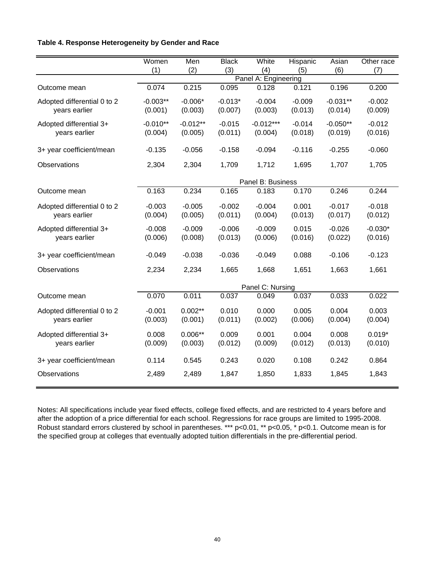# **Table 4. Response Heterogeneity by Gender and Race**

|                             | Women      | Men        | <b>Black</b> | White                | Hispanic | Asian      | Other race |
|-----------------------------|------------|------------|--------------|----------------------|----------|------------|------------|
|                             | (1)        | (2)        | (3)          | (4)                  | (5)      | (6)        | (7)        |
|                             |            |            |              | Panel A: Engineering |          |            |            |
| Outcome mean                | 0.074      | 0.215      | 0.095        | 0.128                | 0.121    | 0.196      | 0.200      |
| Adopted differential 0 to 2 | $-0.003**$ | $-0.006*$  | $-0.013*$    | $-0.004$             | $-0.009$ | $-0.031**$ | $-0.002$   |
| years earlier               | (0.001)    | (0.003)    | (0.007)      | (0.003)              | (0.013)  | (0.014)    | (0.009)    |
| Adopted differential 3+     | $-0.010**$ | $-0.012**$ | $-0.015$     | $-0.012***$          | $-0.014$ | $-0.050**$ | $-0.012$   |
| years earlier               | (0.004)    | (0.005)    | (0.011)      | (0.004)              | (0.018)  | (0.019)    | (0.016)    |
| 3+ year coefficient/mean    | $-0.135$   | $-0.056$   | $-0.158$     | $-0.094$             | $-0.116$ | $-0.255$   | $-0.060$   |
| Observations                | 2,304      | 2,304      | 1,709        | 1,712                | 1,695    | 1,707      | 1,705      |
|                             |            |            |              | Panel B: Business    |          |            |            |
| Outcome mean                | 0.163      | 0.234      | 0.165        | 0.183                | 0.170    | 0.246      | 0.244      |
| Adopted differential 0 to 2 | $-0.003$   | $-0.005$   | $-0.002$     | $-0.004$             | 0.001    | $-0.017$   | $-0.018$   |
| years earlier               | (0.004)    | (0.005)    | (0.011)      | (0.004)              | (0.013)  | (0.017)    | (0.012)    |
| Adopted differential 3+     | $-0.008$   | $-0.009$   | $-0.006$     | $-0.009$             | 0.015    | $-0.026$   | $-0.030*$  |
| years earlier               | (0.006)    | (0.008)    | (0.013)      | (0.006)              | (0.016)  | (0.022)    | (0.016)    |
| 3+ year coefficient/mean    | $-0.049$   | $-0.038$   | $-0.036$     | $-0.049$             | 0.088    | $-0.106$   | $-0.123$   |
| Observations                | 2,234      | 2,234      | 1,665        | 1,668                | 1,651    | 1,663      | 1,661      |
|                             |            |            |              | Panel C: Nursing     |          |            |            |
| Outcome mean                | 0.070      | 0.011      | 0.037        | 0.049                | 0.037    | 0.033      | 0.022      |
| Adopted differential 0 to 2 | $-0.001$   | $0.002**$  | 0.010        | 0.000                | 0.005    | 0.004      | 0.003      |
| years earlier               | (0.003)    | (0.001)    | (0.011)      | (0.002)              | (0.006)  | (0.004)    | (0.004)    |
| Adopted differential 3+     | 0.008      | $0.006**$  | 0.009        | 0.001                | 0.004    | 0.008      | $0.019*$   |
| years earlier               | (0.009)    | (0.003)    | (0.012)      | (0.009)              | (0.012)  | (0.013)    | (0.010)    |
| 3+ year coefficient/mean    | 0.114      | 0.545      | 0.243        | 0.020                | 0.108    | 0.242      | 0.864      |
| Observations                | 2,489      | 2,489      | 1,847        | 1,850                | 1,833    | 1,845      | 1,843      |

Notes: All specifications include year fixed effects, college fixed effects, and are restricted to 4 years before and after the adoption of a price differential for each school. Regressions for race groups are limited to 1995-2008. Robust standard errors clustered by school in parentheses. \*\*\* p<0.01, \*\* p<0.05, \* p<0.1. Outcome mean is for the specified group at colleges that eventually adopted tuition differentials in the pre-differential period.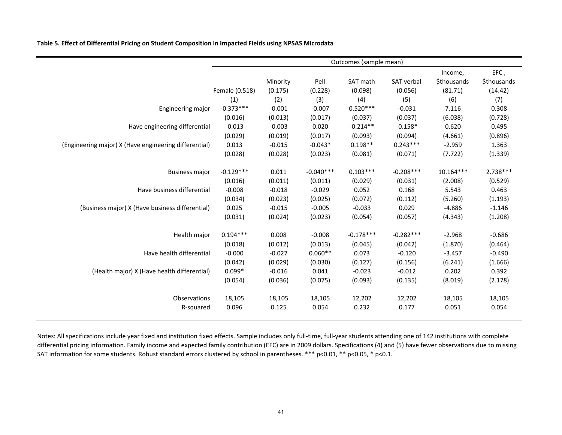**Table 5. Effect of Differential Pricing on Student Composition in Impacted Fields using NPSAS Microdata**

|                                                       |                |          |             | Outcomes (sample mean) |             |                    |                    |
|-------------------------------------------------------|----------------|----------|-------------|------------------------|-------------|--------------------|--------------------|
|                                                       |                |          |             |                        |             | Income,            | EFC,               |
|                                                       |                | Minority | Pell        | SAT math               | SAT verbal  | <b>\$thousands</b> | <b>\$thousands</b> |
|                                                       | Female (0.518) | (0.175)  | (0.228)     | (0.098)                | (0.056)     | (81.71)            | (14.42)            |
|                                                       | (1)            | (2)      | (3)         | (4)                    | (5)         | (6)                | (7)                |
| Engineering major                                     | $-0.373***$    | $-0.001$ | $-0.007$    | $0.520***$             | $-0.031$    | 7.116              | 0.308              |
|                                                       | (0.016)        | (0.013)  | (0.017)     | (0.037)                | (0.037)     | (6.038)            | (0.728)            |
| Have engineering differential                         | $-0.013$       | $-0.003$ | 0.020       | $-0.214**$             | $-0.158*$   | 0.620              | 0.495              |
|                                                       | (0.029)        | (0.019)  | (0.017)     | (0.093)                | (0.094)     | (4.661)            | (0.896)            |
| (Engineering major) X (Have engineering differential) | 0.013          | $-0.015$ | $-0.043*$   | $0.198**$              | $0.243***$  | $-2.959$           | 1.363              |
|                                                       | (0.028)        | (0.028)  | (0.023)     | (0.081)                | (0.071)     | (7.722)            | (1.339)            |
| <b>Business major</b>                                 | $-0.129***$    | 0.011    | $-0.040***$ | $0.103***$             | $-0.208***$ | $10.164***$        | $2.738***$         |
|                                                       | (0.016)        | (0.011)  | (0.011)     | (0.029)                | (0.031)     | (2.008)            | (0.529)            |
| Have business differential                            | $-0.008$       | $-0.018$ | $-0.029$    | 0.052                  | 0.168       | 5.543              | 0.463              |
|                                                       | (0.034)        | (0.023)  | (0.025)     | (0.072)                | (0.112)     | (5.260)            | (1.193)            |
| (Business major) X (Have business differential)       | 0.025          | $-0.015$ | $-0.005$    | $-0.033$               | 0.029       | $-4.886$           | $-1.146$           |
|                                                       | (0.031)        | (0.024)  | (0.023)     | (0.054)                | (0.057)     | (4.343)            | (1.208)            |
| Health major                                          | $0.194***$     | 0.008    | $-0.008$    | $-0.178***$            | $-0.282***$ | $-2.968$           | $-0.686$           |
|                                                       | (0.018)        | (0.012)  | (0.013)     | (0.045)                | (0.042)     | (1.870)            | (0.464)            |
| Have health differential                              | $-0.000$       | $-0.027$ | $0.060**$   | 0.073                  | $-0.120$    | $-3.457$           | $-0.490$           |
|                                                       | (0.042)        | (0.029)  | (0.030)     | (0.127)                | (0.156)     | (6.241)            | (1.666)            |
| (Health major) X (Have health differential)           | $0.099*$       | $-0.016$ | 0.041       | $-0.023$               | $-0.012$    | 0.202              | 0.392              |
|                                                       | (0.054)        | (0.036)  | (0.075)     | (0.093)                | (0.135)     | (8.019)            | (2.178)            |
| Observations                                          | 18,105         | 18,105   | 18,105      | 12,202                 | 12,202      | 18,105             | 18,105             |
| R-squared                                             | 0.096          | 0.125    | 0.054       | 0.232                  | 0.177       | 0.051              | 0.054              |

Notes: All specifications include year fixed and institution fixed effects. Sample includes only full‐time, full‐year students attending one of 142 institutions with complete differential pricing information. Family income and expected family contribution (EFC) are in 2009 dollars. Specifications (4) and (5) have fewer observations due to missing SAT information for some students. Robust standard errors clustered by school in parentheses. \*\*\* p<0.01, \*\* p<0.05, \* p<0.1.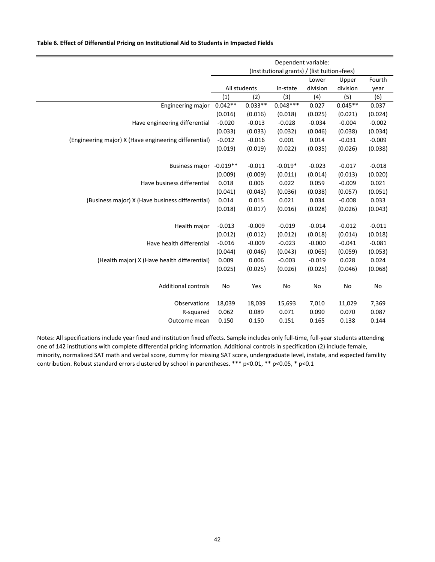#### **Table 6. Effect of Differential Pricing on Institutional Aid to Students in Impacted Fields**

|                                                       | Dependent variable:                                    |                |            |          |           |          |
|-------------------------------------------------------|--------------------------------------------------------|----------------|------------|----------|-----------|----------|
|                                                       | (Institutional grants) / (list tuition+fees)<br>Fourth |                |            |          |           |          |
|                                                       |                                                        | Lower<br>Upper |            |          |           |          |
|                                                       |                                                        | All students   | In-state   | division | division  | year     |
|                                                       | (1)                                                    | (2)            | (3)        | (4)      | (5)       | (6)      |
| Engineering major                                     | $0.042**$                                              | $0.033**$      | $0.048***$ | 0.027    | $0.045**$ | 0.037    |
|                                                       | (0.016)                                                | (0.016)        | (0.018)    | (0.025)  | (0.021)   | (0.024)  |
| Have engineering differential                         | $-0.020$                                               | $-0.013$       | $-0.028$   | $-0.034$ | $-0.004$  | $-0.002$ |
|                                                       | (0.033)                                                | (0.033)        | (0.032)    | (0.046)  | (0.038)   | (0.034)  |
| (Engineering major) X (Have engineering differential) | $-0.012$                                               | $-0.016$       | 0.001      | 0.014    | $-0.031$  | $-0.009$ |
|                                                       | (0.019)                                                | (0.019)        | (0.022)    | (0.035)  | (0.026)   | (0.038)  |
| <b>Business major</b>                                 | $-0.019**$                                             | $-0.011$       | $-0.019*$  | $-0.023$ | $-0.017$  | $-0.018$ |
|                                                       | (0.009)                                                | (0.009)        | (0.011)    | (0.014)  | (0.013)   | (0.020)  |
|                                                       |                                                        |                |            |          |           |          |
| Have business differential                            | 0.018                                                  | 0.006          | 0.022      | 0.059    | $-0.009$  | 0.021    |
|                                                       | (0.041)                                                | (0.043)        | (0.036)    | (0.038)  | (0.057)   | (0.051)  |
| (Business major) X (Have business differential)       | 0.014                                                  | 0.015          | 0.021      | 0.034    | $-0.008$  | 0.033    |
|                                                       | (0.018)                                                | (0.017)        | (0.016)    | (0.028)  | (0.026)   | (0.043)  |
| Health major                                          | $-0.013$                                               | $-0.009$       | $-0.019$   | $-0.014$ | $-0.012$  | $-0.011$ |
|                                                       | (0.012)                                                | (0.012)        | (0.012)    | (0.018)  | (0.014)   | (0.018)  |
| Have health differential                              | $-0.016$                                               | $-0.009$       | $-0.023$   | $-0.000$ | $-0.041$  | $-0.081$ |
|                                                       | (0.044)                                                | (0.046)        | (0.043)    | (0.065)  | (0.059)   | (0.053)  |
| (Health major) X (Have health differential)           | 0.009                                                  | 0.006          | $-0.003$   | $-0.019$ | 0.028     | 0.024    |
|                                                       | (0.025)                                                | (0.025)        | (0.026)    | (0.025)  | (0.046)   | (0.068)  |
|                                                       |                                                        |                |            |          |           |          |
| <b>Additional controls</b>                            | No                                                     | Yes            | No         | No       | No        | No       |
| Observations                                          | 18,039                                                 | 18,039         | 15,693     | 7,010    | 11,029    | 7,369    |
| R-squared                                             | 0.062                                                  | 0.089          | 0.071      | 0.090    | 0.070     | 0.087    |
| Outcome mean                                          | 0.150                                                  | 0.150          | 0.151      | 0.165    | 0.138     | 0.144    |

Notes: All specifications include year fixed and institution fixed effects. Sample includes only full‐time, full‐year students attending one of 142 institutions with complete differential pricing information. Additional controls in specification (2) include female, minority, normalized SAT math and verbal score, dummy for missing SAT score, undergraduate level, instate, and expected famility contribution. Robust standard errors clustered by school in parentheses. \*\*\* p<0.01, \*\* p<0.05, \* p<0.1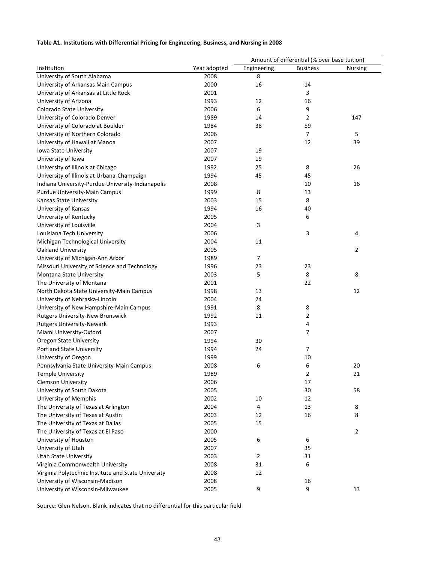#### **Table A1. Institutions with Differential Pricing for Engineering, Business, and Nursing in 2008**

|                                                     |              |                | Amount of differential (% over base tuition) |                |
|-----------------------------------------------------|--------------|----------------|----------------------------------------------|----------------|
| Institution                                         | Year adopted | Engineering    | <b>Business</b>                              | <b>Nursing</b> |
| University of South Alabama                         | 2008         | 8              |                                              |                |
| University of Arkansas Main Campus                  | 2000         | 16             | 14                                           |                |
| University of Arkansas at Little Rock               | 2001         |                | 3                                            |                |
| University of Arizona                               | 1993         | 12             | 16                                           |                |
| Colorado State University                           | 2006         | 6              | 9                                            |                |
| University of Colorado Denver                       | 1989         | 14             | 2                                            | 147            |
| University of Colorado at Boulder                   | 1984         | 38             | 59                                           |                |
| University of Northern Colorado                     | 2006         |                | $\overline{7}$                               | 5              |
| University of Hawaii at Manoa                       | 2007         |                | 12                                           | 39             |
| Iowa State University                               | 2007         | 19             |                                              |                |
| University of Iowa                                  | 2007         | 19             |                                              |                |
| University of Illinois at Chicago                   | 1992         | 25             | 8                                            | 26             |
| University of Illinois at Urbana-Champaign          | 1994         | 45             | 45                                           |                |
| Indiana University-Purdue University-Indianapolis   | 2008         |                | 10                                           | 16             |
| Purdue University-Main Campus                       | 1999         | 8              | 13                                           |                |
| Kansas State University                             | 2003         | 15             | 8                                            |                |
| University of Kansas                                | 1994         | 16             | 40                                           |                |
| University of Kentucky                              | 2005         |                | 6                                            |                |
| University of Louisville                            | 2004         | 3              |                                              |                |
|                                                     | 2006         |                | 3                                            | 4              |
| Louisiana Tech University                           | 2004         | 11             |                                              |                |
| Michigan Technological University                   | 2005         |                |                                              | $\overline{2}$ |
| Oakland University                                  |              | $\overline{7}$ |                                              |                |
| University of Michigan-Ann Arbor                    | 1989         |                |                                              |                |
| Missouri University of Science and Technology       | 1996         | 23             | 23                                           |                |
| Montana State University                            | 2003         | 5              | 8                                            | 8              |
| The University of Montana                           | 2001         |                | 22                                           |                |
| North Dakota State University-Main Campus           | 1998         | 13             |                                              | 12             |
| University of Nebraska-Lincoln                      | 2004         | 24             |                                              |                |
| University of New Hampshire-Main Campus             | 1991         | 8              | 8                                            |                |
| Rutgers University-New Brunswick                    | 1992         | 11             | 2                                            |                |
| <b>Rutgers University-Newark</b>                    | 1993         |                | 4                                            |                |
| Miami University-Oxford                             | 2007         |                | 7                                            |                |
| <b>Oregon State University</b>                      | 1994         | 30             |                                              |                |
| <b>Portland State University</b>                    | 1994         | 24             | 7                                            |                |
| University of Oregon                                | 1999         |                | 10                                           |                |
| Pennsylvania State University-Main Campus           | 2008         | 6              | 6                                            | 20             |
| <b>Temple University</b>                            | 1989         |                | 2                                            | 21             |
| <b>Clemson University</b>                           | 2006         |                | 17                                           |                |
| University of South Dakota                          | 2005         |                | 30                                           | 58             |
| University of Memphis                               | 2002         | 10             | 12                                           |                |
| The University of Texas at Arlington                | 2004         | 4              | 13                                           | 8              |
| The University of Texas at Austin                   | 2003         | 12             | 16                                           | 8              |
| The University of Texas at Dallas                   | 2005         | 15             |                                              |                |
| The University of Texas at El Paso                  | 2000         |                |                                              | $\overline{2}$ |
| University of Houston                               | 2005         | 6              | 6                                            |                |
| University of Utah                                  | 2007         |                | 35                                           |                |
| <b>Utah State University</b>                        | 2003         | $\overline{2}$ | 31                                           |                |
| Virginia Commonwealth University                    | 2008         | 31             | 6                                            |                |
| Virginia Polytechnic Institute and State University | 2008         | 12             |                                              |                |
| University of Wisconsin-Madison                     | 2008         |                | 16                                           |                |
| University of Wisconsin-Milwaukee                   | 2005         | 9              | 9                                            | 13             |

Source: Glen Nelson. Blank indicates that no differential for this particular field.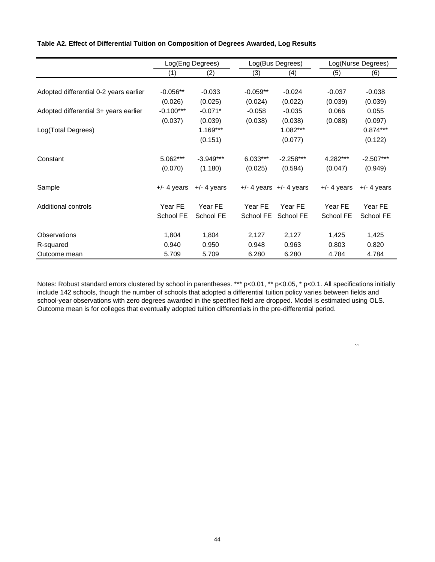|                                        |               | Log(Eng Degrees)<br>Log(Bus Degrees) |            |                             | Log(Nurse Degrees) |               |
|----------------------------------------|---------------|--------------------------------------|------------|-----------------------------|--------------------|---------------|
|                                        | (1)           | (2)                                  | (3)        | (4)                         | (5)                | (6)           |
|                                        |               |                                      |            |                             |                    |               |
| Adopted differential 0-2 years earlier | $-0.056**$    | $-0.033$                             | $-0.059**$ | $-0.024$                    | $-0.037$           | $-0.038$      |
|                                        | (0.026)       | (0.025)                              | (0.024)    | (0.022)                     | (0.039)            | (0.039)       |
| Adopted differential 3+ years earlier  | $-0.100***$   | $-0.071*$                            | $-0.058$   | $-0.035$                    | 0.066              | 0.055         |
|                                        | (0.037)       | (0.039)                              | (0.038)    | (0.038)                     | (0.088)            | (0.097)       |
| Log(Total Degrees)                     |               | $1.169***$                           |            | 1.082***                    |                    | $0.874***$    |
|                                        |               | (0.151)                              |            | (0.077)                     |                    | (0.122)       |
| Constant                               | 5.062***      | $-3.949***$                          | $6.033***$ | $-2.258***$                 | 4.282***           | $-2.507***$   |
|                                        | (0.070)       | (1.180)                              | (0.025)    | (0.594)                     | (0.047)            | (0.949)       |
| Sample                                 | $+/-$ 4 years | $+/-$ 4 years                        |            | $+/-$ 4 years $+/-$ 4 years | $+/-$ 4 years      | $+/-$ 4 years |
| Additional controls                    | Year FE       | Year FE                              | Year FE    | Year FE                     | Year FE            | Year FE       |
|                                        | School FE     | School FE                            | School FE  | School FE                   | School FE          | School FE     |
| <b>Observations</b>                    | 1,804         | 1,804                                | 2,127      | 2,127                       | 1,425              | 1,425         |
| R-squared                              | 0.940         | 0.950                                | 0.948      | 0.963                       | 0.803              | 0.820         |
| Outcome mean                           | 5.709         | 5.709                                | 6.280      | 6.280                       | 4.784              | 4.784         |

#### **Table A2. Effect of Differential Tuition on Composition of Degrees Awarded, Log Results**

Notes: Robust standard errors clustered by school in parentheses. \*\*\* p<0.01, \*\* p<0.05, \* p<0.1. All specifications initially include 142 schools, though the number of schools that adopted a differential tuition policy varies between fields and school-year observations with zero degrees awarded in the specified field are dropped. Model is estimated using OLS. Outcome mean is for colleges that eventually adopted tuition differentials in the pre-differential period.

``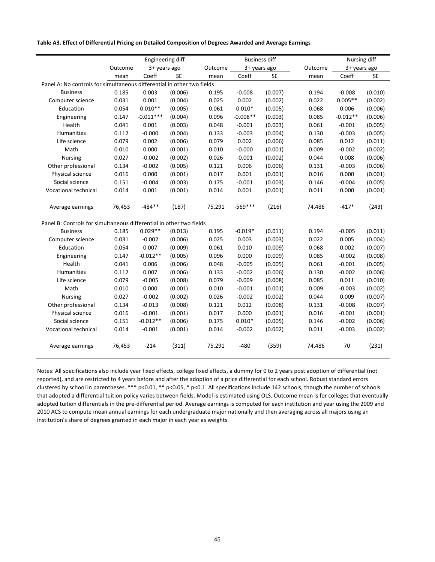#### **Table A3. Effect of Differential Pricing on Detailed Composition of Degrees Awarded and Average Earnings**

L,

|                                                                        |         | Engineering diff |           |         | <b>Business diff</b> |           |         | Nursing diff |         |
|------------------------------------------------------------------------|---------|------------------|-----------|---------|----------------------|-----------|---------|--------------|---------|
|                                                                        | Outcome | 3+ years ago     |           | Outcome | 3+ years ago         |           | Outcome | 3+ years ago |         |
|                                                                        | mean    | Coeff            | <b>SE</b> | mean    | Coeff                | <b>SE</b> | mean    | Coeff        | SE      |
| Panel A: No controls for simultaneous differential in other two fields |         |                  |           |         |                      |           |         |              |         |
| <b>Business</b>                                                        | 0.185   | 0.003            | (0.006)   | 0.195   | $-0.008$             | (0.007)   | 0.194   | $-0.008$     | (0.010) |
| Computer science                                                       | 0.031   | 0.001            | (0.004)   | 0.025   | 0.002                | (0.002)   | 0.022   | $0.005**$    | (0.002) |
| Education                                                              | 0.054   | $0.010**$        | (0.005)   | 0.061   | $0.010*$             | (0.005)   | 0.068   | 0.006        | (0.006) |
| Engineering                                                            | 0.147   | $-0.011***$      | (0.004)   | 0.096   | $-0.008**$           | (0.003)   | 0.085   | $-0.012**$   | (0.006) |
| Health                                                                 | 0.041   | 0.001            | (0.003)   | 0.048   | $-0.001$             | (0.003)   | 0.061   | $-0.001$     | (0.005) |
| <b>Humanities</b>                                                      | 0.112   | $-0.000$         | (0.004)   | 0.133   | $-0.003$             | (0.004)   | 0.130   | $-0.003$     | (0.005) |
| Life science                                                           | 0.079   | 0.002            | (0.006)   | 0.079   | 0.002                | (0.006)   | 0.085   | 0.012        | (0.011) |
| Math                                                                   | 0.010   | 0.000            | (0.001)   | 0.010   | $-0.000$             | (0.001)   | 0.009   | $-0.002$     | (0.002) |
| <b>Nursing</b>                                                         | 0.027   | $-0.002$         | (0.002)   | 0.026   | $-0.001$             | (0.002)   | 0.044   | 0.008        | (0.006) |
| Other professional                                                     | 0.134   | $-0.002$         | (0.005)   | 0.121   | 0.006                | (0.006)   | 0.131   | $-0.003$     | (0.006) |
| Physical science                                                       | 0.016   | 0.000            | (0.001)   | 0.017   | 0.001                | (0.001)   | 0.016   | 0.000        | (0.001) |
| Social science                                                         | 0.151   | $-0.004$         | (0.003)   | 0.175   | $-0.001$             | (0.003)   | 0.146   | $-0.004$     | (0.005) |
| Vocational technical                                                   | 0.014   | 0.001            | (0.001)   | 0.014   | 0.001                | (0.001)   | 0.011   | 0.000        | (0.001) |
|                                                                        |         |                  |           |         |                      |           |         |              |         |
| Average earnings                                                       | 76,453  | $-484**$         | (187)     | 75,291  | $-569***$            | (216)     | 74,486  | $-417*$      | (243)   |
|                                                                        |         |                  |           |         |                      |           |         |              |         |
| Panel B: Controls for simultaneous differential in other two fields    |         |                  |           |         |                      |           |         |              |         |
| <b>Business</b>                                                        | 0.185   | $0.029**$        | (0.013)   | 0.195   | $-0.019*$            | (0.011)   | 0.194   | $-0.005$     | (0.011) |
| Computer science                                                       | 0.031   | $-0.002$         | (0.006)   | 0.025   | 0.003                | (0.003)   | 0.022   | 0.005        | (0.004) |
| Education                                                              | 0.054   | 0.007            | (0.009)   | 0.061   | 0.010                | (0.009)   | 0.068   | 0.002        | (0.007) |
| Engineering                                                            | 0.147   | $-0.012**$       | (0.005)   | 0.096   | 0.000                | (0.009)   | 0.085   | $-0.002$     | (0.008) |
| Health                                                                 | 0.041   | 0.006            | (0.006)   | 0.048   | $-0.005$             | (0.005)   | 0.061   | $-0.001$     | (0.005) |
| Humanities                                                             | 0.112   | 0.007            | (0.006)   | 0.133   | $-0.002$             | (0.006)   | 0.130   | $-0.002$     | (0.006) |
| Life science                                                           | 0.079   | $-0.005$         | (0.008)   | 0.079   | $-0.009$             | (0.008)   | 0.085   | 0.011        | (0.010) |
| Math                                                                   | 0.010   | 0.000            | (0.001)   | 0.010   | $-0.001$             | (0.001)   | 0.009   | $-0.003$     | (0.002) |
| <b>Nursing</b>                                                         | 0.027   | $-0.002$         | (0.002)   | 0.026   | $-0.002$             | (0.002)   | 0.044   | 0.009        | (0.007) |
| Other professional                                                     | 0.134   | $-0.013$         | (0.008)   | 0.121   | 0.012                | (0.008)   | 0.131   | $-0.008$     | (0.007) |
| Physical science                                                       | 0.016   | $-0.001$         | (0.001)   | 0.017   | 0.000                | (0.001)   | 0.016   | $-0.001$     | (0.001) |
| Social science                                                         | 0.151   | $-0.012**$       | (0.006)   | 0.175   | $0.010*$             | (0.005)   | 0.146   | $-0.002$     | (0.006) |
| Vocational technical                                                   | 0.014   | $-0.001$         | (0.001)   | 0.014   | $-0.002$             | (0.002)   | 0.011   | $-0.003$     | (0.002) |
| Average earnings                                                       | 76,453  | $-214$           | (311)     | 75,291  | $-480$               | (359)     | 74,486  | 70           | (231)   |

Notes: All specifications also include year fixed effects, college fixed effects, a dummy for 0 to 2 years post adoption of differential (not reported), and are restricted to 4 years before and after the adoption of a price differential for each school. Robust standard errors clustered by school in parentheses. \*\*\*  $p<0.01$ , \*\*  $p<0.05$ , \*  $p<0.1$ . All specifications include 142 schools, though the number of schools that adopted a differential tuition policy varies between fields. Model is estimated using OLS. Outcome mean is for colleges that eventually adopted tuition differentials in the pre-differential period. Average earnings is computed for each institution and year using the 2009 and 2010 ACS to compute mean annual earnings for each undergraduate major nationally and then averaging across all majors using an institution's share of degrees granted in each major in each year as weights.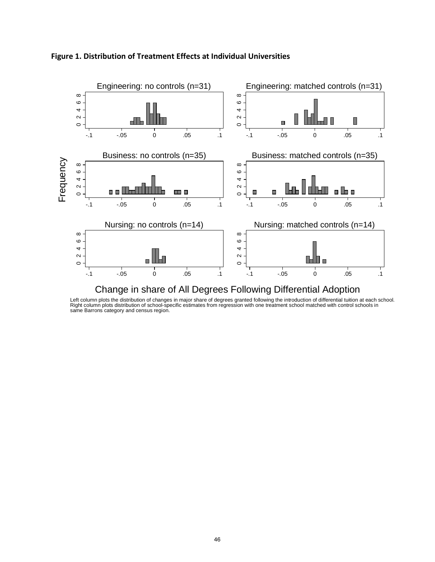

# **Figure 1. Distribution of Treatment Effects at Individual Universities**

Left column plots the distribution of changes in major share of degrees granted following the introduction of differential tuition at each school.<br>Right column plots distribution of school-specific estimates from regressio same Barrons category and census region.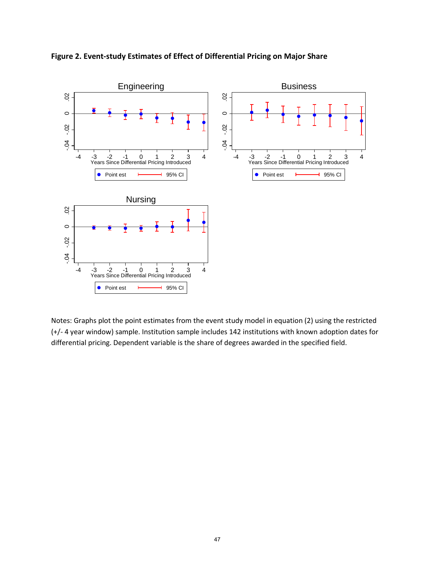

**Figure 2. Event-study Estimates of Effect of Differential Pricing on Major Share**

Notes: Graphs plot the point estimates from the event study model in equation (2) using the restricted (+/- 4 year window) sample. Institution sample includes 142 institutions with known adoption dates for